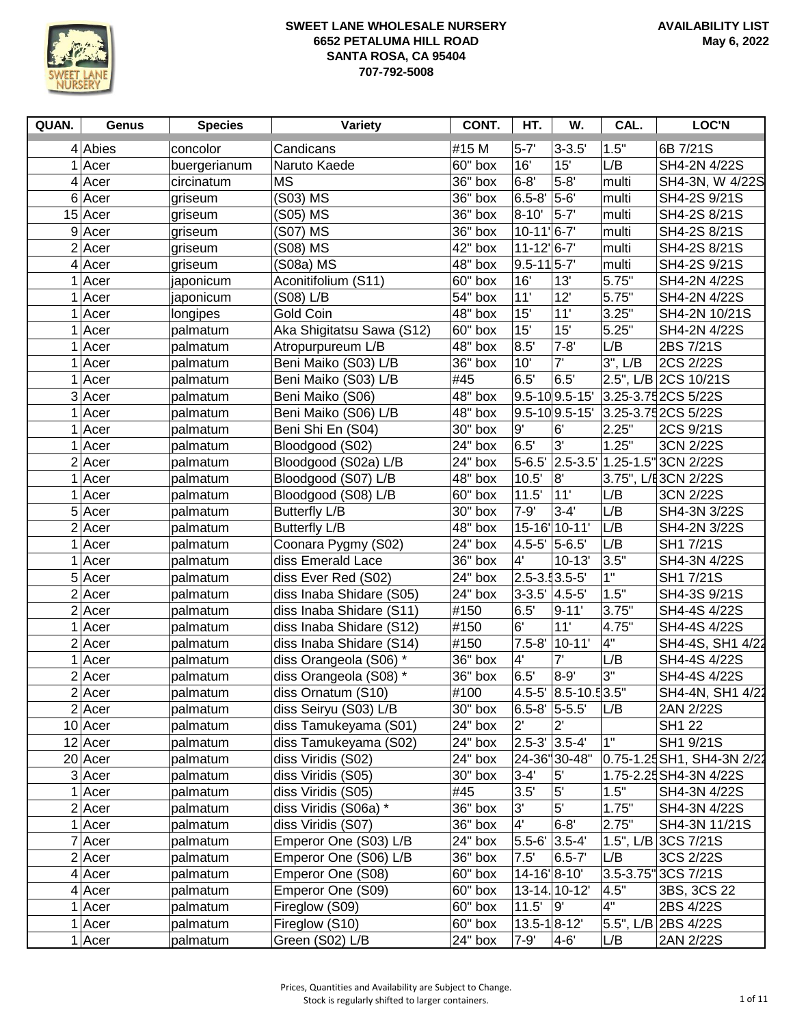

| QUAN. | Genus     | <b>Species</b> | Variety                   | CONT.     | HT.                                  | W.                   | CAL.         | <b>LOC'N</b>               |
|-------|-----------|----------------|---------------------------|-----------|--------------------------------------|----------------------|--------------|----------------------------|
|       | $4$ Abies | concolor       | Candicans                 | #15 M     | $5 - 7'$                             | $3 - 3.5'$           | 1.5"         | 6B 7/21S                   |
|       | $1$ Acer  | buergerianum   | Naruto Kaede              | 60" box   | 16'                                  | 15'                  | L/B          | SH4-2N 4/22S               |
|       | $4$ Acer  | circinatum     | <b>MS</b>                 | 36" box   | $6 - 8'$                             | $5 - 8'$             | multi        | SH4-3N, W 4/22S            |
|       | $6$ Acer  | griseum        | (S03) MS                  | 36" box   | $6.5 - 8'$                           | $5-6'$               | multi        | SH4-2S 9/21S               |
|       | $15$ Acer | griseum        | (S05) MS                  | 36" box   | $8 - 10'$                            | $5 - 7'$             | multi        | SH4-2S 8/21S               |
|       | 9 Acer    | griseum        | (S07) MS                  | 36" box   | $10-11$ <sup><math> 6-7</math></sup> |                      | multi        | SH4-2S 8/21S               |
|       | $2$ Acer  | griseum        | (S08) MS                  | 42" box   | $11 - 12$ <sup>6-7</sup>             |                      | multi        | SH4-2S 8/21S               |
|       | $4$ Acer  | griseum        | (S08a) MS                 | 48" box   | $9.5 - 11$ 5-7                       |                      | multi        | SH4-2S 9/21S               |
|       | $1$ Acer  | japonicum      | Aconitifolium (S11)       | 60" box   | 16'                                  | 13'                  | 5.75"        | SH4-2N 4/22S               |
|       | $1$ Acer  | japonicum      | (S08) L/B                 | $54"$ box | 11'                                  | 12'                  | 5.75"        | SH4-2N 4/22S               |
|       | $1$ Acer  | longipes       | Gold Coin                 | 48" box   | 15'                                  | 11'                  | 3.25"        | SH4-2N 10/21S              |
|       | $1$ Acer  | palmatum       | Aka Shigitatsu Sawa (S12) | 60" box   | 15'                                  | 15'                  | 5.25"        | SH4-2N 4/22S               |
|       | Acer      | palmatum       | Atropurpureum L/B         | 48" box   | 8.5'                                 | $7 - 8'$             | L/B          | 2BS 7/21S                  |
|       | $1$ Acer  | palmatum       | Beni Maiko (S03) L/B      | 36" box   | 10'                                  | 7'                   | $3"$ , $L/B$ | 2CS 2/22S                  |
|       | Acer      | palmatum       | Beni Maiko (S03) L/B      | #45       | 6.5'                                 | 6.5'                 |              | 2.5", L/B 2CS 10/21S       |
|       | $3$ Acer  | palmatum       | Beni Maiko (S06)          | 48" box   |                                      | $9.5 - 10$ 9.5-15'   |              | 3.25-3.75 2CS 5/22S        |
|       | Acer      | palmatum       | Beni Maiko (S06) L/B      | 48" box   |                                      | $9.5 - 10$ 9.5-15'   |              | 3.25-3.75 2CS 5/22S        |
|       | $1$ Acer  | palmatum       | Beni Shi En (S04)         | 30" box   | 9'                                   | 6'                   | 2.25"        | 2CS 9/21S                  |
|       | $1$ Acer  | palmatum       | Bloodgood (S02)           | 24" box   | 6.5'                                 | $3^{\prime}$         | 1.25"        | 3CN 2/22S                  |
|       | 2 Acer    | palmatum       | Bloodgood (S02a) L/B      | 24" box   | $5 - 6.5'$                           |                      |              | 2.5-3.5 1.25-1.5 3CN 2/22S |
|       | Acer      | palmatum       | Bloodgood (S07) L/B       | 48" box   | 10.5'                                | 8'                   |              | 3.75", L/E3CN 2/22S        |
|       | Acer      | palmatum       | Bloodgood (S08) L/B       | 60" box   | 11.5'                                | 11'                  | L/B          | 3CN 2/22S                  |
|       | $5$ Acer  | palmatum       | <b>Butterfly L/B</b>      | 30" box   | $7 - 9'$                             | $3 - 4'$             | L/B          | SH4-3N 3/22S               |
|       | $2$ Acer  | palmatum       | <b>Butterfly L/B</b>      | 48" box   |                                      | 15-16' 10-11'        | L/B          | SH4-2N 3/22S               |
|       | Acer      | palmatum       | Coonara Pygmy (S02)       | 24" box   | $4.5 - 5'$                           | 5-6.5                | L/B          | SH1 7/21S                  |
|       | $1$ Acer  | palmatum       | diss Emerald Lace         | 36" box   | 4'                                   | $10 - 13'$           | 3.5"         | SH4-3N 4/22S               |
|       | 5 Acer    | palmatum       | diss Ever Red (S02)       | 24" box   | $2.5 - 3.5 - 5$                      |                      | 1"           | SH1 7/21S                  |
|       | $2$ Acer  | palmatum       | diss Inaba Shidare (S05)  | 24" box   | $3 - 3.5'$                           | $4.5 - 5'$           | 1.5"         | SH4-3S 9/21S               |
|       | $2$ Acer  | palmatum       | diss Inaba Shidare (S11)  | #150      | 6.5'                                 | $9 - 11'$            | 3.75"        | SH4-4S 4/22S               |
|       | Acer      | palmatum       | diss Inaba Shidare (S12)  | #150      | 6'                                   | 11'                  | 4.75"        | SH4-4S 4/22S               |
|       | $2$ Acer  | palmatum       | diss Inaba Shidare (S14)  | #150      | $7.5 - 8'$                           | $10 - 11'$           | 4"           | SH4-4S, SH1 4/22           |
|       | Acer      | palmatum       | diss Orangeola (S06) *    | 36" box   | 4'                                   | 7'                   | L/B          | SH4-4S 4/22S               |
|       | $2$ Acer  | palmatum       | diss Orangeola (S08) *    | 36" box   | 6.5'                                 | $8 - 9'$             | 3"           | SH4-4S 4/22S               |
|       | $2$ Acer  | palmatum       | diss Ornatum (S10)        | #100      |                                      | 4.5-5' 8.5-10.5 3.5" |              | SH4-4N, SH1 4/22           |
|       | $2$ Acer  | palmatum       | diss Seiryu (S03) L/B     | 30" box   | 6.5-8' 5-5.5'                        |                      | L/B          | 2AN 2/22S                  |
|       | $10$ Acer | palmatum       | diss Tamukeyama (S01)     | 24" box   | $2^{\prime}$                         | 2'                   |              | <b>SH1 22</b>              |
|       | $12$ Acer | palmatum       | diss Tamukeyama (S02)     | 24" box   | $2.5 - 3'$ 3.5-4                     |                      | 1"           | SH1 9/21S                  |
|       | 20 Acer   | palmatum       | diss Viridis (S02)        | 24" box   |                                      | 24-36"30-48"         |              | 0.75-1.25 SH1, SH4-3N 2/22 |
|       | $3$ Acer  | palmatum       | diss Viridis (S05)        | 30" box   | $3 - 4'$                             | $5^{\prime}$         |              | 1.75-2.25 SH4-3N 4/22S     |
|       | $1$ Acer  | palmatum       | diss Viridis (S05)        | #45       | 3.5'                                 | 5'                   | 1.5"         | SH4-3N 4/22S               |
|       | $2$ Acer  | palmatum       | diss Viridis (S06a) *     | 36" box   | 3'                                   | 5'                   | 1.75"        | SH4-3N 4/22S               |
|       | $1$ Acer  | palmatum       | diss Viridis (S07)        | 36" box   | 4'                                   | $6 - 8'$             | 2.75"        | SH4-3N 11/21S              |
|       | 7 Acer    | palmatum       | Emperor One (S03) L/B     | 24" box   | $5.5 - 6'$                           | $3.5 - 4'$           |              | 1.5", L/B 3CS 7/21S        |
|       | 2 Acer    | palmatum       | Emperor One (S06) L/B     | 36" box   | 7.5'                                 | $6.5 - 7'$           | L/B          | 3CS 2/22S                  |
|       | $4$ Acer  | palmatum       | Emperor One (S08)         | 60" box   | 14-16 8-10                           |                      |              | 3.5-3.75" 3CS 7/21S        |
|       | $4$ Acer  | palmatum       | Emperor One (S09)         | 60" box   |                                      | 13-14. 10-12'        | 4.5"         | 3BS, 3CS 22                |
|       | $1$ Acer  | palmatum       | Fireglow (S09)            | 60" box   | 11.5'                                | g'                   | 4"           | 2BS 4/22S                  |
|       | $1$ Acer  | palmatum       | Fireglow (S10)            | 60" box   | $13.5 - 18 - 12'$                    |                      |              | 5.5", L/B 2BS 4/22S        |
|       | $1$ Acer  | palmatum       | Green (S02) L/B           | 24" box   | $7 - 9'$                             | $4 - 6'$             | L/B          | 2AN 2/22S                  |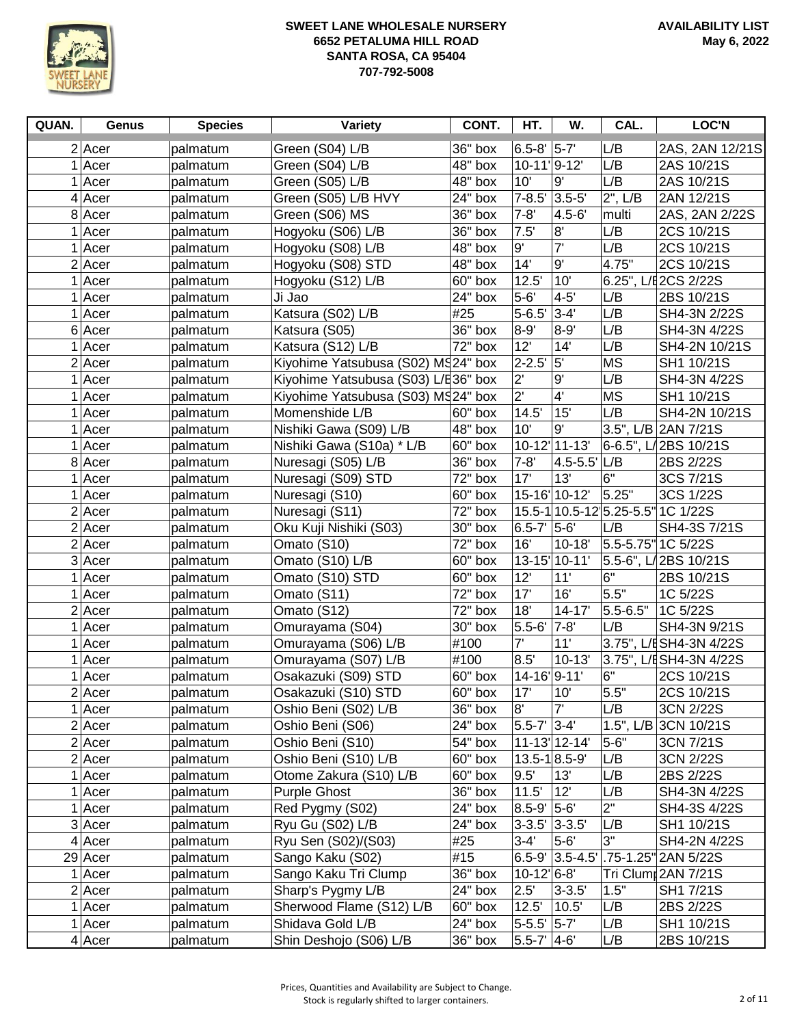

| QUAN.          | Genus     | <b>Species</b> | Variety                             | CONT.   | HT.                    | W.                 | CAL.         | <b>LOC'N</b>                      |
|----------------|-----------|----------------|-------------------------------------|---------|------------------------|--------------------|--------------|-----------------------------------|
|                | $2$ Acer  | palmatum       | Green (S04) L/B                     | 36" box | $6.5 - 8'$ 5-7'        |                    | L/B          | 2AS, 2AN 12/21S                   |
|                | Acer      | palmatum       | Green (S04) L/B                     | 48" box | 10-11 9-12             |                    | L/B          | 2AS 10/21S                        |
|                | Acer      | palmatum       | Green (S05) L/B                     | 48" box | 10'                    | 9'                 | L/B          | 2AS 10/21S                        |
| 4              | Acer      | palmatum       | Green (S05) L/B HVY                 | 24" box | $7 - 8.5'$             | $3.5 - 5'$         | $2$ ", $L/B$ | 2AN 12/21S                        |
|                | 8 Acer    | palmatum       | Green (S06) MS                      | 36" box | $7 - 8'$               | $4.5 - 6'$         | multi        | 2AS, 2AN 2/22S                    |
|                | Acer      | palmatum       | Hogyoku (S06) L/B                   | 36" box | 7.5'                   | 8'                 | L/B          | 2CS 10/21S                        |
|                | Acer      | palmatum       | Hogyoku (S08) L/B                   | 48" box | $9^{\circ}$            | 7'                 | L/B          | 2CS 10/21S                        |
|                | $2$ Acer  | palmatum       | Hogyoku (S08) STD                   | 48" box | 14'                    | 9'                 | 4.75"        | 2CS 10/21S                        |
|                | Acer      | palmatum       | Hogyoku (S12) L/B                   | 60" box | 12.5'                  | 10'                |              | 6.25", L/E 2CS 2/22S              |
|                | Acer      | palmatum       | Ji Jao                              | 24" box | $5 - 6'$               | $4 - 5'$           | L/B          | 2BS 10/21S                        |
|                | Acer      | palmatum       | Katsura (S02) L/B                   | #25     | $5 - 6.5'$             | $3 - 4'$           | L/B          | SH4-3N 2/22S                      |
| 6 <sup>1</sup> | Acer      | palmatum       | Katsura (S05)                       | 36" box | $8 - 9'$               | $8 - 9'$           | L/B          | SH4-3N 4/22S                      |
|                | Acer      | palmatum       | Katsura (S12) L/B                   | 72" box | 12'                    | 14'                | L/B          | SH4-2N 10/21S                     |
|                | $2$ Acer  | palmatum       | Kiyohime Yatsubusa (S02) MS24" box  |         | $2 - 2.5'$             | 5'                 | МS           | SH1 10/21S                        |
|                | Acer      | palmatum       | Kiyohime Yatsubusa (S03) L/E36" box |         | $2^{\prime}$           | $9^\circ$          | L/B          | SH4-3N 4/22S                      |
| 1              | Acer      | palmatum       | Kiyohime Yatsubusa (S03) MS24" box  |         | $2^{\prime}$           | 4'                 | <b>MS</b>    | SH1 10/21S                        |
| 1              | Acer      | palmatum       | Momenshide L/B                      | 60" box | 14.5'                  | 15'                | L/B          | SH4-2N 10/21S                     |
|                | Acer      | palmatum       | Nishiki Gawa (S09) L/B              | 48" box | 10'                    | 9'                 |              | 3.5", L/B 2AN 7/21S               |
|                | Acer      | palmatum       | Nishiki Gawa (S10a) * L/B           | 60" box | $10 - 12'$             | $11 - 13'$         |              | 6-6.5", L/2BS 10/21S              |
| 8              | Acer      | palmatum       | Nuresagi (S05) L/B                  | 36" box | $7 - 8'$               | $4.5 - 5.5'$       | L/B          | 2BS 2/22S                         |
|                | Acer      | palmatum       | Nuresagi (S09) STD                  | 72" box | 17'                    | 13'                | 6"           | 3CS 7/21S                         |
|                | Acer      | palmatum       | Nuresagi (S10)                      | 60" box |                        | 15-16' 10-12'      | 5.25"        | 3CS 1/22S                         |
| 2              | Acer      | palmatum       | Nuresagi (S11)                      | 72" box |                        |                    |              | 15.5-1 10.5-12 5.25-5.5" 1C 1/22S |
| 2              | Acer      | palmatum       | Oku Kuji Nishiki (S03)              | 30" box | $6.5 - 7'$ 5-6'        |                    | L/B          | SH4-3S 7/21S                      |
|                | $2$ Acer  | palmatum       | Omato (S10)                         | 72" box | 16'                    | $10 - 18'$         |              | 5.5-5.75" 1C 5/22S                |
|                | 3 Acer    | palmatum       | Omato (S10) L/B                     | 60" box | $13 - 15'$             | $10 - 11'$         |              | 5.5-6", L/2BS 10/21S              |
|                | Acer      | palmatum       | Omato (S10) STD                     | 60" box | 12'                    | 11'                | 6"           | 2BS 10/21S                        |
|                | Acer      | palmatum       | Omato (S11)                         | 72" box | 17'                    | 16'                | 5.5"         | 1C 5/22S                          |
|                | $2$ Acer  | palmatum       | Omato (S12)                         | 72" box | 18'                    | $14 - 17'$         | $5.5 - 6.5"$ | 1C 5/22S                          |
|                | Acer      | palmatum       | Omurayama (S04)                     | 30" box | $5.5 - 6'$             | $7 - 8'$           | L/B          | SH4-3N 9/21S                      |
|                | Acer      | palmatum       | Omurayama (S06) L/B                 | #100    | 7'                     | 11'                |              | 3.75", L/ESH4-3N 4/22S            |
|                | Acer      | palmatum       | Omurayama (S07) L/B                 | #100    | 8.5'                   | $10 - 13'$         |              | 3.75", L/ESH4-3N 4/22S            |
| 1              | Acer      | palmatum       | Osakazuki (S09) STD                 | 60" box | 14-16 9-11             |                    | 6"           | 2CS 10/21S                        |
|                | $2$ Acer  | palmatum       | Osakazuki (S10) STD                 | 60" box | 17'                    | 10'                | 5.5"         | 2CS 10/21S                        |
| 1              | Acer      | palmatum       | Oshio Beni (S02) L/B                | 36" box | 8'                     | 7'                 | L/B          | 3CN 2/22S                         |
|                | $2$ Acer  | palmatum       | Oshio Beni (S06)                    | 24" box | $5.5 - 7'$ 3-4         |                    |              | 1.5", L/B 3CN 10/21S              |
|                | $2$ Acer  | palmatum       | Oshio Beni (S10)                    | 54" box |                        | 11-13 12-14        | $5 - 6"$     | 3CN 7/21S                         |
|                | $2$ Acer  | palmatum       | Oshio Beni (S10) L/B                | 60" box | $13.5 - 18.5 - 9'$     |                    | L/B          | 3CN 2/22S                         |
| 1              | Acer      | palmatum       | Otome Zakura (S10) L/B              | 60" box | 9.5'                   | 13'                | L/B          | 2BS 2/22S                         |
| 1              | Acer      | palmatum       | <b>Purple Ghost</b>                 | 36" box | 11.5'                  | 12'                | L/B          | SH4-3N 4/22S                      |
| 1              | Acer      | palmatum       | Red Pygmy (S02)                     | 24" box | $8.5 - 9'$ 5-6'        |                    | 2"           | SH4-3S 4/22S                      |
|                | $3$ Acer  | palmatum       | Ryu Gu (S02) L/B                    | 24" box | $3-3.5'$ 3-3.5'        |                    | L/B          | SH1 10/21S                        |
|                | $4$ Acer  | palmatum       | Ryu Sen (S02)/(S03)                 | #25     | $3 - 4'$               | $5-6'$             | 3"           | SH4-2N 4/22S                      |
|                | $29$ Acer | palmatum       | Sango Kaku (S02)                    | #15     |                        | $6.5 - 9'$ 3.5-4.5 |              | .75-1.25" 2AN 5/22S               |
| 1              | Acer      | palmatum       | Sango Kaku Tri Clump                | 36" box | $10-12$ <sup>6-8</sup> |                    |              | Tri Clumr 2AN 7/21S               |
|                | $2$ Acer  | palmatum       | Sharp's Pygmy L/B                   | 24" box | 2.5'                   | $3 - 3.5'$         | 1.5"         | SH1 7/21S                         |
| 1              | Acer      | palmatum       | Sherwood Flame (S12) L/B            | 60" box | 12.5'                  | 10.5'              | L/B          | 2BS 2/22S                         |
| 1              | Acer      | palmatum       | Shidava Gold L/B                    | 24" box | $5 - 5.5'$ 5-7         |                    | L/B          | SH1 10/21S                        |
|                | $4$ Acer  | palmatum       | Shin Deshojo (S06) L/B              | 36" box | $5.5 - 7'$ 4-6'        |                    | L/B          | 2BS 10/21S                        |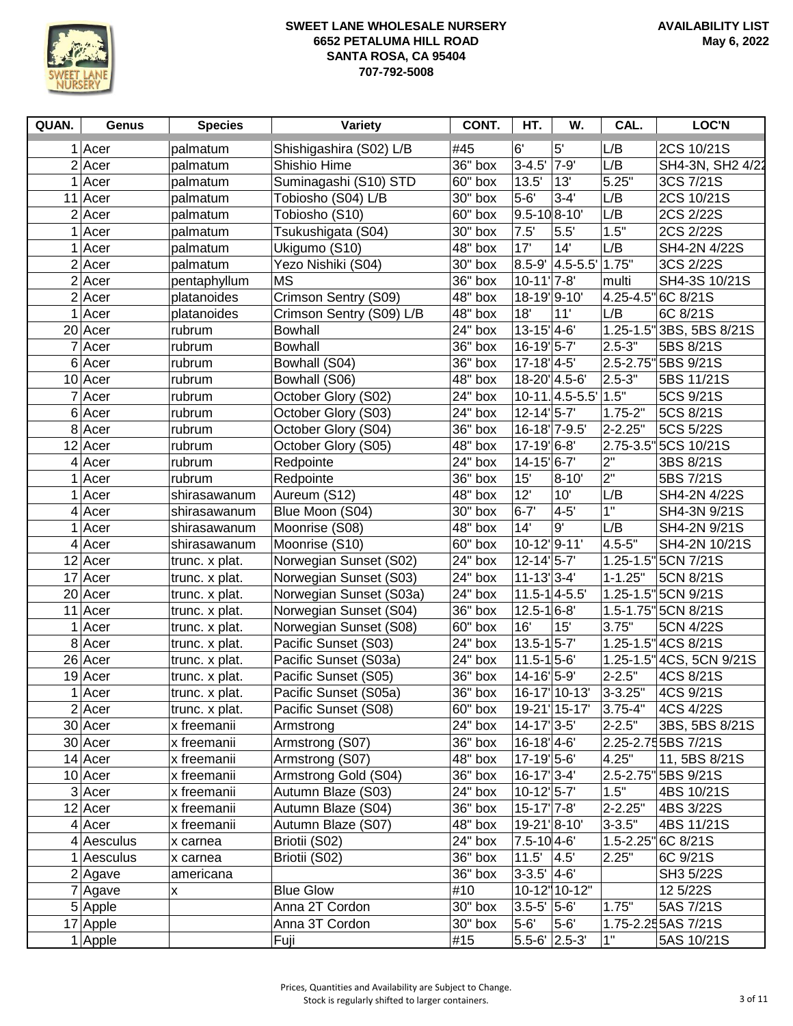

| QUAN. | Genus        | <b>Species</b> | <b>Variety</b>           | CONT.     | HT.                                         | W.                  | CAL.         | <b>LOC'N</b>             |
|-------|--------------|----------------|--------------------------|-----------|---------------------------------------------|---------------------|--------------|--------------------------|
|       | $1$ Acer     | palmatum       | Shishigashira (S02) L/B  | #45       | 6'                                          | 5'                  | L/B          | 2CS 10/21S               |
|       | $2$ Acer     | palmatum       | Shishio Hime             | 36" box   | $3 - 4.5'$                                  | $7 - 9'$            | L/B          | SH4-3N, SH2 4/22         |
|       | $1$ Acer     | palmatum       | Suminagashi (S10) STD    | 60" box   | 13.5'                                       | 13'                 | 5.25"        | 3CS 7/21S                |
|       | $11$ Acer    | palmatum       | Tobiosho (S04) L/B       | 30" box   | $5-6'$                                      | $3-4'$              | L/B          | 2CS 10/21S               |
|       | $2$ Acer     | palmatum       | Tobiosho (S10)           | 60" box   | $9.5 - 108 - 10$                            |                     | L/B          | 2CS 2/22S                |
|       | $1$ Acer     | palmatum       | Tsukushigata (S04)       | 30" box   | 7.5'                                        | 5.5'                | 1.5"         | 2CS 2/22S                |
|       | $1$ Acer     | palmatum       | Ukigumo (S10)            | 48" box   | 17'                                         | 14'                 | L/B          | SH4-2N 4/22S             |
|       | $2$ Acer     | palmatum       | Yezo Nishiki (S04)       | 30" box   |                                             | $8.5 - 9'$ 4.5-5.5' | 1.75"        | 3CS 2/22S                |
|       | $2$ Acer     | pentaphyllum   | <b>MS</b>                | 36" box   | $10-11$ <sup>'</sup> 7-8'                   |                     | multi        | SH4-3S 10/21S            |
|       | $2$ Acer     | platanoides    | Crimson Sentry (S09)     | $48"$ box | 18-19 9-10                                  |                     |              | 4.25-4.5" 6C 8/21S       |
|       | $1$ Acer     | platanoides    | Crimson Sentry (S09) L/B | 48" box   | 18'                                         | 11'                 | L/B          | 6C 8/21S                 |
|       | 20 Acer      | rubrum         | <b>Bowhall</b>           | 24" box   | $13 - 15'$ 4-6'                             |                     |              | 1.25-1.5" 3BS, 5BS 8/21S |
|       | $7$ Acer     | rubrum         | <b>Bowhall</b>           | 36" box   | 16-19 5-7                                   |                     | $2.5 - 3"$   | 5BS 8/21S                |
|       | $6$ Acer     | rubrum         | Bowhall (S04)            | 36" box   | $17 - 18$ <sup>1</sup> 4-5'                 |                     |              | 2.5-2.75" 5BS 9/21S      |
|       | $10$ Acer    | rubrum         | Bowhall (S06)            | 48" box   | 18-20 4.5-6                                 |                     | $2.5 - 3"$   | 5BS 11/21S               |
|       | $7$ Acer     | rubrum         | October Glory (S02)      | 24" box   |                                             | $10-11$ . 4.5-5.5'  | 1.5"         | 5CS 9/21S                |
|       | 6 Acer       | rubrum         | October Glory (S03)      | 24" box   | $12 - 14$ <sup>1</sup> 5-7                  |                     | $1.75 - 2"$  | 5CS 8/21S                |
|       | 8 Acer       | rubrum         | October Glory (S04)      | 36" box   | 16-18' 7-9.5'                               |                     | 2-2.25"      | 5CS 5/22S                |
|       | $12$ Acer    | rubrum         | October Glory (S05)      | 48" box   | 17-19 6-8                                   |                     |              | 2.75-3.5" 5CS 10/21S     |
|       | $4$ Acer     | rubrum         | Redpointe                | 24" box   | 14-15'6-7'                                  |                     | 2"           | 3BS 8/21S                |
|       | Acer         | rubrum         | Redpointe                | 36" box   | 15'                                         | $8 - 10'$           | 2"           | 5BS 7/21S                |
|       | $1$ Acer     | shirasawanum   | Aureum (S12)             | 48" box   | 12'                                         | 10'                 | L/B          | SH4-2N 4/22S             |
|       | $4$ Acer     | shirasawanum   | Blue Moon (S04)          | 30" box   | $6 - 7'$                                    | $4 - 5'$            | 1"           | SH4-3N 9/21S             |
|       | $1$ Acer     | shirasawanum   | Moonrise (S08)           | 48" box   | 14'                                         | 9'                  | L/B          | SH4-2N 9/21S             |
|       | $4$ Acer     | shirasawanum   | Moonrise (S10)           | 60" box   | 10-12'9-11'                                 |                     | $4.5 - 5"$   | SH4-2N 10/21S            |
|       | $12$ Acer    | trunc. x plat. | Norwegian Sunset (S02)   | 24" box   | $12 - 14$ <sup>'</sup> 5-7'                 |                     |              | 1.25-1.5" 5CN 7/21S      |
|       | $17$ Acer    | trunc. x plat. | Norwegian Sunset (S03)   | 24" box   | $11 - 13$ <sup>2</sup> $-4$                 |                     | $1 - 1.25"$  | 5CN 8/21S                |
|       | 20 Acer      | trunc. x plat. | Norwegian Sunset (S03a)  | 24" box   | $11.5 - 1$ 4-5.5                            |                     |              | 1.25-1.5" 5CN 9/21S      |
|       | $11$ Acer    | trunc. x plat. | Norwegian Sunset (S04)   | 36" box   | $12.5 - 16 - 8'$                            |                     |              | 1.5-1.75" 5CN 8/21S      |
|       | Acer         | trunc. x plat. | Norwegian Sunset (S08)   | 60" box   | 16'                                         | 15'                 | 3.75"        | 5CN 4/22S                |
|       | 8 Acer       | trunc. x plat. | Pacific Sunset (S03)     | 24" box   | $13.5 - 1$ 5-7                              |                     |              | 1.25-1.5" 4CS 8/21S      |
|       | $26$ Acer    | trunc. x plat. | Pacific Sunset (S03a)    | 24" box   | $11.5 - 1$ 5-6                              |                     |              | 1.25-1.5" 4CS, 5CN 9/21S |
|       | $19$ Acer    | trunc. x plat. | Pacific Sunset (S05)     | 36" box   | 14-16 5-9                                   |                     | $2 - 2.5"$   | 4CS 8/21S                |
|       | $1$ Acer     | trunc. x plat. | Pacific Sunset (S05a)    | 36" box   |                                             | 16-17 10-13'        | $3 - 3.25"$  | 4CS 9/21S                |
|       | 2 Acer       | trunc. x plat. | Pacific Sunset (S08)     | 60" box   |                                             | 19-21 15-17         | $ 3.75 - 4"$ | 4CS 4/22S                |
|       | 30 Acer      | x freemanii    | Armstrong                | 24" box   | $14 - 17$ <sup>2</sup> $-5$                 |                     | $2 - 2.5"$   | 3BS, 5BS 8/21S           |
|       | $30$ Acer    | x freemanii    | Armstrong (S07)          | $36"$ box | $16 - 18$ <sup>'</sup> $4 - 6$ <sup>'</sup> |                     |              | 2.25-2.75 5BS 7/21S      |
|       | $14$ Acer    | x freemanii    | Armstrong (S07)          | 48" box   | $17 - 19$ 5-6                               |                     | 4.25"        | 11, 5BS 8/21S            |
|       | $10$ Acer    | x freemanii    | Armstrong Gold (S04)     | 36" box   | $16-17$ <sup>2</sup>                        |                     |              | 2.5-2.75" 5BS 9/21S      |
|       | $3$ Acer     | x freemanii    | Autumn Blaze (S03)       | 24" box   | $10-12$ <sup>1</sup> 5-7                    |                     | 1.5"         | 4BS 10/21S               |
|       | $12$ Acer    | x freemanii    | Autumn Blaze (S04)       | 36" box   | $15-17$ <sup>'</sup> 7-8'                   |                     | $2 - 2.25"$  | 4BS 3/22S                |
|       | $4$ Acer     | x freemanii    | Autumn Blaze (S07)       | 48" box   | 19-21 8-10                                  |                     | $3 - 3.5"$   | 4BS 11/21S               |
|       | $4$ Aesculus | x carnea       | Briotii (S02)            | 24" box   | $7.5 - 10$ 4-6'                             |                     |              | 1.5-2.25" 6C 8/21S       |
|       | $1$ Aesculus | x carnea       | Briotii (S02)            | $36"$ box | 11.5'                                       | 4.5                 | 2.25"        | 6C 9/21S                 |
|       | $2$  Agave   | americana      |                          | 36" box   | $3-3.5'$ 4-6'                               |                     |              | SH3 5/22S                |
|       | 7 Agave      | X              | <b>Blue Glow</b>         | #10       |                                             | 10-12" 10-12"       |              | 12 5/22S                 |
|       | 5 Apple      |                | Anna 2T Cordon           | 30" box   | $3.5 - 5'$                                  | $5-6'$              | 1.75"        | 5AS 7/21S                |
|       | 17 Apple     |                | Anna 3T Cordon           | $30"$ box | $5-6'$                                      | $5 - 6'$            |              | 1.75-2.255AS 7/21S       |
|       | 1 Apple      |                | Fuji                     | #15       | $5.5 - 6'$ 2.5-3'                           |                     | 1"           | 5AS 10/21S               |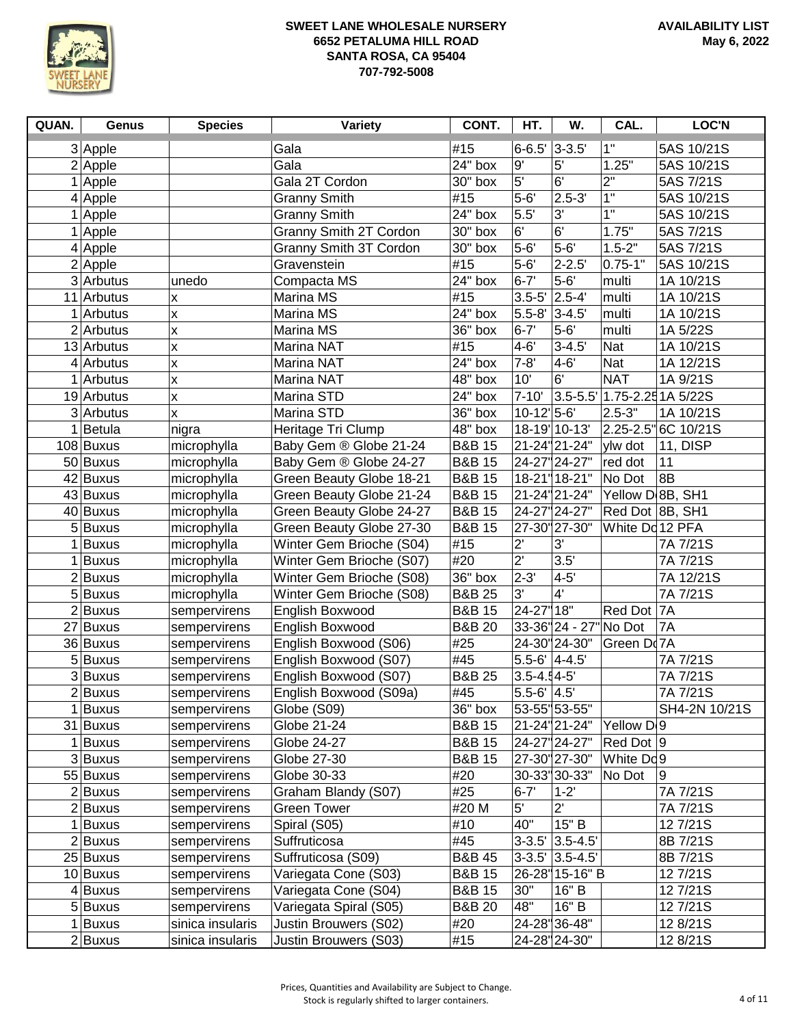

| QUAN. | Genus            | <b>Species</b>     | <b>Variety</b>                | CONT.                 | HT.                       | W.                            | CAL.                  | <b>LOC'N</b>       |
|-------|------------------|--------------------|-------------------------------|-----------------------|---------------------------|-------------------------------|-----------------------|--------------------|
|       | 3 Apple          |                    | Gala                          | #15                   | $6 - 6.5'$                | $3 - 3.5'$                    | 1"                    | 5AS 10/21S         |
|       | $2$ Apple        |                    | Gala                          | $24"$ box             | $9^{\prime}$              | 5'                            | 1.25"                 | 5AS 10/21S         |
|       | 1 Apple          |                    | Gala 2T Cordon                | 30" box               | 5 <sup>1</sup>            | 6'                            | 2"                    | 5AS 7/21S          |
|       | $4$ Apple        |                    | <b>Granny Smith</b>           | #15                   | $5-6'$                    | $2.5 - 3'$                    | 1"                    | 5AS 10/21S         |
|       | $1$ Apple        |                    | <b>Granny Smith</b>           | $\overline{2}4"$ box  | 5.5'                      | 3'                            | 1"                    | 5AS 10/21S         |
|       | 1 Apple          |                    | Granny Smith 2T Cordon        | 30" box               | 6'                        | 6'                            | 1.75"                 | 5AS 7/21S          |
|       | $4$ Apple        |                    | <b>Granny Smith 3T Cordon</b> | 30" box               | $5-6'$                    | $5-6'$                        | $1.5 - 2"$            | 5AS 7/21S          |
|       | $2$ Apple        |                    | Gravenstein                   | #15                   | $5-6'$                    | $2 - 2.5'$                    | $0.75 - 1"$           | 5AS 10/21S         |
|       | $3$ Arbutus      | unedo              | Compacta MS                   | $24"$ box             | $6 - 7'$                  | $5-6'$                        | multi                 | 1A 10/21S          |
|       | 11 Arbutus       | $\pmb{\mathsf{x}}$ | Marina MS                     | #15                   | $3.5 - 5'$                | $2.5 - 4'$                    | multi                 | 1A 10/21S          |
|       | $1$ Arbutus      | $\pmb{\mathsf{X}}$ | Marina MS                     | $24"$ box             | $5.5 - 8$ '               | $3 - 4.5'$                    | multi                 | 1A 10/21S          |
|       | $2$ Arbutus      | $\pmb{\mathsf{X}}$ | Marina MS                     | $36"$ box             | $6 - 7'$                  | $5-6'$                        | multi                 | 1A 5/22S           |
|       | 13 Arbutus       | $\pmb{\mathsf{x}}$ | Marina NAT                    | #15                   | $4 - 6'$                  | $3 - 4.5'$                    | Nat                   | 1A 10/21S          |
|       | $4$ Arbutus      | $\pmb{\mathsf{x}}$ | Marina NAT                    | $\overline{2}4"$ box  | $7 - 8'$                  | $4 - 6'$                      | Nat                   | 1A 12/21S          |
|       | $1$ Arbutus      | $\pmb{\mathsf{x}}$ | Marina NAT                    | $\overline{48}$ " box | 10'                       | 6'                            | <b>NAT</b>            | 1A 9/21S           |
|       | 19 Arbutus       | $\pmb{\times}$     | Marina STD                    | $24"$ box             | $7 - 10'$                 | $3.5 - 5.5$                   |                       | 1.75-2.25 1A 5/22S |
|       | 3 Arbutus        | $\pmb{\times}$     | Marina STD                    | $36"$ box             | $10-12$ <sup>1</sup> 5-6' |                               | $2.5 - 3"$            | 1A 10/21S          |
|       | <b>Betula</b>    | nigra              | Heritage Tri Clump            | 48" box               |                           | 18-19 10-13'                  | 2.25-2.5"             | 6C 10/21S          |
|       | 108 Buxus        | microphylla        | Baby Gem ® Globe 21-24        | <b>B&amp;B 15</b>     |                           | 21-24"21-24"                  | ylw dot               | 11, DISP           |
|       | 50 Buxus         | microphylla        | Baby Gem ® Globe 24-27        | <b>B&amp;B 15</b>     |                           | 24-27" 24-27"                 | red dot               | 11                 |
|       | 42 Buxus         | microphylla        | Green Beauty Globe 18-21      | <b>B&amp;B 15</b>     |                           | 18-21 18-21"                  | No Dot                | 8B                 |
|       | 43 Buxus         | microphylla        | Green Beauty Globe 21-24      | <b>B&amp;B 15</b>     |                           | 21-24"21-24"                  | Yellow D 8B, SH1      |                    |
|       | 40 Buxus         | microphylla        | Green Beauty Globe 24-27      | <b>B&amp;B 15</b>     |                           | 24-27" 24-27"                 | Red Dot 8B, SH1       |                    |
|       | 5 Buxus          | microphylla        | Green Beauty Globe 27-30      | <b>B&amp;B 15</b>     |                           | 27-30" 27-30"                 | White Dd 12 PFA       |                    |
|       | 1 Buxus          | microphylla        | Winter Gem Brioche (S04)      | #15                   | 2'                        | 3'                            |                       | 7A 7/21S           |
| 1     | <b>Buxus</b>     | microphylla        | Winter Gem Brioche (S07)      | #20                   | $\overline{2}$            | 3.5'                          |                       | 7A 7/21S           |
|       | $2$ <b>Buxus</b> | microphylla        | Winter Gem Brioche (S08)      | 36" box               | $2 - 3'$                  | $4 - 5'$                      |                       | 7A 12/21S          |
|       | 5 Buxus          | microphylla        | Winter Gem Brioche (S08)      | <b>B&amp;B 25</b>     | $3^{\circ}$               | 4'                            |                       | 7A 7/21S           |
|       | $2$ Buxus        | sempervirens       | English Boxwood               | <b>B&amp;B 15</b>     | 24-27"18"                 |                               | Red Dot               | <b>7A</b>          |
|       | 27 Buxus         | sempervirens       | English Boxwood               | <b>B&amp;B 20</b>     |                           | 33-36" 24 - 27" No Dot        |                       | 7A                 |
|       | 36 Buxus         | sempervirens       | English Boxwood (S06)         | #25                   |                           | 24-30" 24-30"                 | Green Do 7A           |                    |
|       | 5 Buxus          | sempervirens       | English Boxwood (S07)         | #45                   | $5.5 - 6'$ 4-4.5          |                               |                       | 7A 7/21S           |
|       | 3 Buxus          | sempervirens       | English Boxwood (S07)         | <b>B&amp;B 25</b>     | $3.5 - 4.4 - 5'$          |                               |                       | 7A 7/21S           |
|       | $2$ Buxus        | sempervirens       | English Boxwood (S09a)        | #45                   | $5.5 - 6'$ 4.5'           |                               |                       | 7A 7/21S           |
|       | $1$  Buxus       | sempervirens       | Globe (S09)                   | 36" box               |                           | 53-55" 53-55"                 |                       | SH4-2N 10/21S      |
|       | 31 Buxus         | sempervirens       | Globe 21-24                   | <b>B&amp;B 15</b>     |                           | 21-24"21-24"                  | Yellow D <sub>9</sub> |                    |
|       | 1 Buxus          | sempervirens       | Globe 24-27                   | <b>B&amp;B 15</b>     |                           | 24-27" 24-27"                 | Red Dot $ 9 $         |                    |
|       | 3Buxus           | sempervirens       | Globe 27-30                   | <b>B&amp;B 15</b>     |                           | 27-30" 27-30"                 | White Dc9             |                    |
|       | 55 Buxus         | sempervirens       | Globe 30-33                   | #20                   |                           | 30-33" 30-33"                 | No Dot                | 9                  |
|       | $2$ Buxus        | sempervirens       | Graham Blandy (S07)           | #25                   | $6 - 7'$                  | $1 - 2'$                      |                       | 7A 7/21S           |
|       | $2$ <b>Buxus</b> | sempervirens       | <b>Green Tower</b>            | #20 M                 | 5'                        | $2^{\prime}$                  |                       | 7A 7/21S           |
|       | $1$ Buxus        | sempervirens       | Spiral (S05)                  | #10                   | 40"                       | 15" B                         |                       | 12 7/21S           |
|       | $2$ <b>Buxus</b> | sempervirens       | Suffruticosa                  | #45                   |                           | $3-3.5$ <sup>'</sup> 3.5-4.5' |                       | 8B 7/21S           |
|       | 25 Buxus         | sempervirens       | Suffruticosa (S09)            | <b>B&amp;B 45</b>     |                           | $3-3.5$ <sup>'</sup> 3.5-4.5' |                       | 8B 7/21S           |
|       | 10 Buxus         | sempervirens       | Variegata Cone (S03)          | <b>B&amp;B 15</b>     |                           | 26-28 15-16" B                |                       | 12 7/21S           |
|       | $4$ Buxus        | sempervirens       | Variegata Cone (S04)          | <b>B&amp;B 15</b>     | 30"                       | 16" B                         |                       | 12 7/21S           |
|       | 5 Buxus          | sempervirens       | Variegata Spiral (S05)        | <b>B&amp;B 20</b>     | 48"                       | 16" B                         |                       | 12 7/21S           |
|       | 1 Buxus          | sinica insularis   | Justin Brouwers (S02)         | #20                   |                           | 24-28 36-48                   |                       | 12 8/21S           |
|       | 2Buxus           | sinica insularis   | Justin Brouwers (S03)         | #15                   |                           | 24-28 24-30"                  |                       | 12 8/21S           |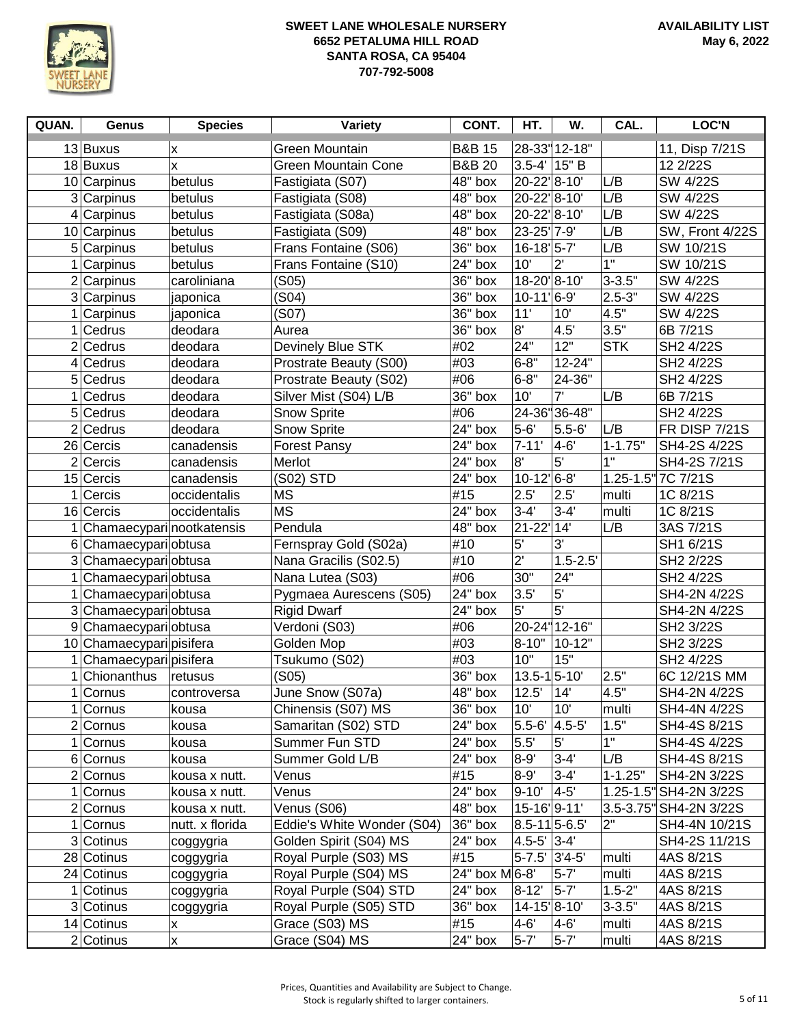

| QUAN.          | Genus                    | <b>Species</b>                 | <b>Variety</b>                    | CONT.              | HT.                        | W.            | CAL.           | <b>LOC'N</b>                 |
|----------------|--------------------------|--------------------------------|-----------------------------------|--------------------|----------------------------|---------------|----------------|------------------------------|
|                | 13 Buxus                 | Χ                              | Green Mountain                    | <b>B&amp;B 15</b>  |                            | 28-33 12-18"  |                | 11, Disp 7/21S               |
|                | 18 Buxus                 | X                              | <b>Green Mountain Cone</b>        | <b>B&amp;B 20</b>  | $3.5 - 4'$                 | 15" B         |                | 12 2/22S                     |
|                | 10 Carpinus              | betulus                        | Fastigiata (S07)                  | 48" box            | 20-22'8-10'                |               | L/B            | SW 4/22S                     |
|                | 3 Carpinus               | betulus                        | Fastigiata (S08)                  | 48" box            | 20-22'8-10'                |               | L/B            | SW 4/22S                     |
|                | $4$ Carpinus             | betulus                        | Fastigiata (S08a)                 | 48" box            | 20-22'8-10'                |               | L/B            | SW 4/22S                     |
|                | 10 Carpinus              | betulus                        | Fastigiata (S09)                  | 48" box            | 23-25 7-9                  |               | L/B            | SW, Front 4/22S              |
|                | 5 Carpinus               | betulus                        | Frans Fontaine (S06)              | 36" box            | $16 - 18$ <sup>1</sup> 5-7 |               | L/B            | SW 10/21S                    |
|                | Carpinus                 | betulus                        | Frans Fontaine (S10)              | 24" box            | 10'                        | $2^{\prime}$  | 1"             | SW 10/21S                    |
|                | $2$ Carpinus             | caroliniana                    | (S05)                             | 36" box            | 18-20 8-10                 |               | $3 - 3.5"$     | SW 4/22S                     |
|                | 3 Carpinus               | japonica                       | (S04)                             | 36" box            | $10-11'$ 6-9'              |               | $2.5 - 3"$     | SW 4/22S                     |
| 1              | Carpinus                 | japonica                       | (S07)                             | 36" box            | 11'                        | 10'           | 4.5"           | SW 4/22S                     |
| 1              | Cedrus                   | deodara                        | Aurea                             | 36" box            | 8'                         | 4.5'          | 3.5"           | 6B 7/21S                     |
| 2              | Cedrus                   | deodara                        | Devinely Blue STK                 | #02                | 24"                        | 12"           | <b>STK</b>     | SH2 4/22S                    |
| $\overline{4}$ | Cedrus                   | deodara                        | Prostrate Beauty (S00)            | #03                | $6 - 8"$                   | 12-24"        |                | SH2 4/22S                    |
|                | 5 Cedrus                 | deodara                        | Prostrate Beauty (S02)            | #06                | $6 - 8"$                   | 24-36"        |                | SH2 4/22S                    |
|                | Cedrus                   | deodara                        | Silver Mist (S04) L/B             | 36" box            | 10'                        | 7'            | L/B            | 6B 7/21S                     |
|                | 5 Cedrus                 | deodara                        | <b>Snow Sprite</b>                | #06                |                            | 24-36"36-48"  |                | SH2 4/22S                    |
| 2              | Cedrus                   | deodara                        | <b>Snow Sprite</b>                | 24" box            | $5-6'$                     | $5.5 - 6'$    | L/B            | <b>FR DISP 7/21S</b>         |
|                | 26 Cercis                | canadensis                     | <b>Forest Pansy</b>               | 24" box            | $7 - 11'$                  | 4-6'          | $1 - 1.75"$    | SH4-2S 4/22S                 |
| 2              | Cercis                   | canadensis                     | Merlot                            | 24" box            | 8'                         | 5'            | $\overline{1}$ | SH4-2S 7/21S                 |
|                | 15 Cercis                | canadensis                     | (S02) STD                         | 24" box            | $10-12$ <sup>6-8</sup>     |               |                | 1.25-1.5" 7C 7/21S           |
|                | Cercis                   | occidentalis                   | <b>MS</b>                         | #15                | 2.5'                       | 2.5'          | multi          | 1C 8/21S                     |
|                | 16 Cercis                | occidentalis                   | <b>MS</b>                         | 24" box            | $3 - 4'$                   | $3 - 4'$      | multi          | 1C 8/21S                     |
|                | Chamaecyparinootkatensis |                                | Pendula                           | 48" box            | $21 - 22'$                 | 14'           | L/B            | 3AS 7/21S                    |
|                | 6 Chamaecypari obtusa    |                                | Fernspray Gold (S02a)             | #10                | 5'                         | 3'            |                | SH1 6/21S                    |
|                | 3 Chamaecypari obtusa    |                                | Nana Gracilis (S02.5)             | #10                | $\overline{2}$             | $1.5 - 2.5'$  |                | SH2 2/22S                    |
| 1              | Chamaecypari obtusa      |                                | Nana Lutea (S03)                  | #06                | 30"                        | 24"           |                | SH2 4/22S                    |
| 1              | Chamaecypari obtusa      |                                | Pygmaea Aurescens (S05)           | 24" box            | 3.5'                       | 5'            |                | SH4-2N 4/22S                 |
|                | 3 Chamaecypari obtusa    |                                | <b>Rigid Dwarf</b>                | 24" box            | 5'                         | 5'            |                | SH4-2N 4/22S                 |
| 9              | Chamaecypari obtusa      |                                | Verdoni (S03)                     | #06                |                            | 20-24" 12-16" |                | SH2 3/22S                    |
|                | 10 Chamaecypari pisifera |                                | Golden Mop                        | #03                | $8 - 10"$                  | $10 - 12"$    |                | SH2 3/22S                    |
|                | Chamaecypari pisifera    |                                | Tsukumo (S02)                     | #03                | 10"                        | 15"           |                | SH2 4/22S                    |
|                | Chionanthus              | retusus                        | (S05)                             | $36"$ box          | $13.5 - 1$ 5-10            |               | 2.5"           | 6C 12/21S MM                 |
| 1              | Cornus                   | controversa                    | June Snow (S07a)                  | 48" box            | 12.5'                      | 14'           | 4.5"           | SH4-2N 4/22S                 |
|                | $1$ Cornus               | kousa                          | Chinensis (S07) MS                | 36" box            | 10'                        | 10'           | multi<br>1.5"  | SH4-4N 4/22S                 |
|                | $2$ Cornus               | kousa                          | Samaritan (S02) STD               | 24" box<br>24" box | $5.5 - 6'$ 4.5-5'          | 5'            | 1"             | SH4-4S 8/21S                 |
|                | $1$ Cornus<br>6 Cornus   | kousa<br>kousa                 | Summer Fun STD<br>Summer Gold L/B | 24" box            | 5.5'<br>$8 - 9'$           | $3 - 4'$      | L/B            | SH4-4S 4/22S<br>SH4-4S 8/21S |
|                | $2$ Cornus               |                                | Venus                             | #15                | $8 - 9'$                   | $3 - 4'$      | $1 - 1.25"$    | SH4-2N 3/22S                 |
| 1.             | Cornus                   | kousa x nutt.<br>kousa x nutt. | Venus                             | 24" box            | $9 - 10'$                  | $4-5'$        |                | 1.25-1.5" SH4-2N 3/22S       |
|                | $2$ Cornus               | kousa x nutt.                  | Venus (S06)                       | 48" box            | 15-16 9-11                 |               |                | 3.5-3.75" SH4-2N 3/22S       |
|                | 1 Cornus                 | nutt. x florida                | Eddie's White Wonder (S04)        | 36" box            | $8.5 - 11$ 5-6.5'          |               | 2"             | SH4-4N 10/21S                |
|                | 3 Cotinus                | coggygria                      | Golden Spirit (S04) MS            | 24" box            | $4.5 - 5'$ 3-4'            |               |                | SH4-2S 11/21S                |
|                | 28 Cotinus               | coggygria                      | Royal Purple (S03) MS             | #15                | 5-7.5' 3'4-5'              |               | multi          | 4AS 8/21S                    |
|                | 24 Cotinus               | coggygria                      | Royal Purple (S04) MS             | 24" box M 6-8'     |                            | $5-7'$        | multi          | 4AS 8/21S                    |
| 1              | Cotinus                  | coggygria                      | Royal Purple (S04) STD            | 24" box            | $8 - 12'$                  | $5-7'$        | $1.5 - 2"$     | 4AS 8/21S                    |
|                | 3 Cotinus                | coggygria                      | Royal Purple (S05) STD            | 36" box            | 14-15 8-10                 |               | $3 - 3.5"$     | 4AS 8/21S                    |
|                | 14 Cotinus               | X                              | Grace (S03) MS                    | #15                | $4 - 6'$                   | $4 - 6'$      | multi          | 4AS 8/21S                    |
|                | $2$ Cotinus              | X                              | Grace (S04) MS                    | 24" box            | $5 - 7'$                   | $5-7'$        | multi          | 4AS 8/21S                    |
|                |                          |                                |                                   |                    |                            |               |                |                              |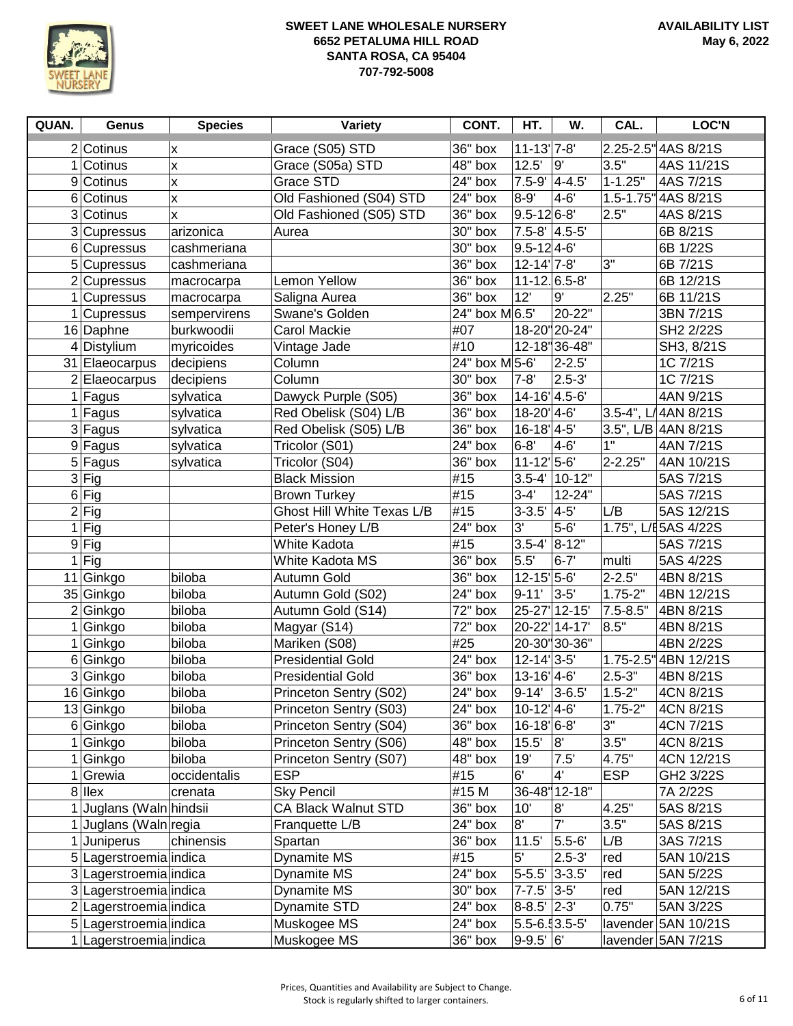

| QUAN.            | <b>Genus</b>           | <b>Species</b>   | Variety                                              | CONT.          | HT.                                         | W.                | CAL.        | <b>LOC'N</b>                      |
|------------------|------------------------|------------------|------------------------------------------------------|----------------|---------------------------------------------|-------------------|-------------|-----------------------------------|
|                  | $2$ Cotinus            | Χ                | Grace (S05) STD                                      | 36" box        | $11 - 13$ <sup>'</sup> 7-8'                 |                   |             | 2.25-2.5" 4AS 8/21S               |
|                  | $1$ Cotinus            | X                | Grace (S05a) STD                                     | 48" box        | 12.5'                                       | l9'               | 3.5"        | 4AS 11/21S                        |
|                  | 9 Cotinus              | X                | Grace STD                                            | 24" box        | $7.5 - 9'$ 4-4.5'                           |                   | $1 - 1.25"$ | 4AS 7/21S                         |
| $6 \overline{6}$ | Cotinus                | X                | Old Fashioned (S04) STD                              | 24" box        | $8 - 9'$                                    | $4 - 6'$          |             | 1.5-1.75" 4AS 8/21S               |
| 3                | Cotinus                | X                | Old Fashioned (S05) STD                              | 36" box        | $9.5 - 126 - 8'$                            |                   | 2.5"        | 4AS 8/21S                         |
|                  | 3 Cupressus            | arizonica        | Aurea                                                | 30" box        | $7.5 - 8'$ 4.5-5'                           |                   |             | 6B 8/21S                          |
|                  | 6 Cupressus            | cashmeriana      |                                                      | 30" box        | $9.5 - 12$ 4-6'                             |                   |             | 6B 1/22S                          |
|                  | 5 Cupressus            | cashmeriana      |                                                      | 36" box        | $12 - 14$ <sup>1</sup> 7-8'                 |                   | 3"          | 6B 7/21S                          |
|                  | $2$ Cupressus          | macrocarpa       | Lemon Yellow                                         | 36" box        | $11 - 12$ 6.5-8                             |                   |             | 6B 12/21S                         |
|                  | $1$ Cupressus          | macrocarpa       | Saligna Aurea                                        | $36"$ box      | 12'                                         | 9'                | 2.25"       | 6B 11/21S                         |
|                  | 1 Cupressus            | sempervirens     | Swane's Golden                                       | 24" box M 6.5' |                                             | 20-22"            |             | 3BN 7/21S                         |
|                  | 16 Daphne              | burkwoodii       | Carol Mackie                                         | #07            |                                             | 18-20 20-24       |             | SH2 2/22S                         |
|                  | $4$ Distylium          | myricoides       | Vintage Jade                                         | #10            |                                             | 12-18 36-48       |             | SH3, 8/21S                        |
|                  | 31 Elaeocarpus         | decipiens        | Column                                               | 24" box M 5-6' |                                             | $2 - 2.5'$        |             | 1C 7/21S                          |
|                  | 2 Elaeocarpus          | decipiens        | Column                                               | $30"$ box      | $7 - 8'$                                    | $2.5 - 3'$        |             | 1C 7/21S                          |
|                  | $1$ Fagus              | sylvatica        | Dawyck Purple (S05)                                  | $36"$ box      | 14-16 4.5-6                                 |                   |             | 4AN 9/21S                         |
|                  | $1$ Fagus              | sylvatica        | Red Obelisk (S04) L/B                                | 36" box        | $18 - 20'$ 4-6'                             |                   |             | 3.5-4", L/4AN 8/21S               |
|                  | 3 Fagus                | sylvatica        | Red Obelisk (S05) L/B                                | 36" box        | $16 - 18$ <sup>1</sup> 4-5'                 |                   |             | 3.5", L/B 4AN 8/21S               |
|                  | 9 Fagus                | sylvatica        | Tricolor (S01)                                       | $24"$ box      | $6 - 8'$                                    | 4-6'              | 1"          | 4AN 7/21S                         |
|                  | 5 Fagus                | sylvatica        | Tricolor (S04)                                       | $36"$ box      | $11 - 12$ <sup>1</sup> 5-6'                 |                   | $2 - 2.25"$ | 4AN 10/21S                        |
|                  | $3$ Fig                |                  | <b>Black Mission</b>                                 | #15            |                                             | $3.5 - 4'$ 10-12" |             | 5AS 7/21S                         |
|                  | $6$ Fig                |                  | <b>Brown Turkey</b>                                  | #15            | $3 - 4'$                                    | 12-24"            |             | 5AS 7/21S                         |
|                  | $2$ Fig                |                  | Ghost Hill White Texas L/B                           | #15            | $3-3.5'$ 4-5'                               |                   | L/B         | 5AS 12/21S                        |
| 1                | Fig                    |                  | Peter's Honey L/B                                    | $24"$ box      | 3'                                          | $5-6'$            |             | 1.75", L/E 5AS 4/22S              |
|                  | $9$ Fig                |                  | <b>White Kadota</b>                                  | #15            | $3.5 - 4'$ $8 - 12''$                       |                   |             | 5AS 7/21S                         |
| 1                | Fig                    |                  | White Kadota MS                                      | 36" box        | 5.5'                                        | $6 - 7'$          | multi       | 5AS 4/22S                         |
|                  | 11 Ginkgo              | biloba           | Autumn Gold                                          | 36" box        | $12 - 15$ <sup>1</sup> 5-6                  |                   | $2 - 2.5"$  | 4BN 8/21S                         |
|                  | 35 Ginkgo              | biloba           | Autumn Gold (S02)                                    | 24" box        | $9 - 11'$                                   | $3-5'$            | $1.75 - 2"$ | 4BN 12/21S                        |
|                  | 2 Ginkgo               | biloba           | Autumn Gold (S14)                                    | 72" box        | 25-27 12-15                                 |                   | 7.5-8.5"    | 4BN 8/21S                         |
|                  | Ginkgo                 | biloba           | Magyar (S14)                                         | 72" box        | 20-22' 14-17'                               |                   | 8.5"        | 4BN 8/21S                         |
|                  | 1 Ginkgo               | biloba<br>biloba | Mariken (S08)                                        | #25<br>24" box | $12 - 14$ <sup>2</sup> $-5$                 | 20-30 30-36"      |             | 4BN 2/22S<br>1.75-2.5" 4BN 12/21S |
|                  | 6 Ginkgo<br>3 Ginkgo   | biloba           | <b>Presidential Gold</b><br><b>Presidential Gold</b> | 36" box        | $13 - 16$ <sup>'</sup> $4 - 6$ <sup>'</sup> |                   | $2.5 - 3"$  | 4BN 8/21S                         |
|                  | 16 Ginkgo              | biloba           | Princeton Sentry (S02)                               | 24" box        | $9-14'$ 3-6.5'                              |                   | $1.5 - 2"$  | 4CN 8/21S                         |
|                  | 13 Ginkgo              | biloba           | Princeton Sentry (S03)                               | 24" box        | $10-12$ <sup>1</sup> 4-6                    |                   | $1.75 - 2"$ | 4CN 8/21S                         |
|                  | 6 Ginkgo               | biloba           | Princeton Sentry (S04)                               | 36" box        | $16 - 18$ <sup>1</sup> 6-8'                 |                   | 3"          | 4CN 7/21S                         |
| 1                | Ginkgo                 | biloba           | Princeton Sentry (S06)                               | 48" box        | $15.5'$ 8'                                  |                   | 3.5"        | 4CN 8/21S                         |
|                  | Ginkgo                 | biloba           | Princeton Sentry (S07)                               | 48" box        | 19'                                         | 7.5'              | 4.75"       | 4CN 12/21S                        |
| 1                | Grewia                 | occidentalis     | <b>ESP</b>                                           | #15            | 6'                                          | 4'                | <b>ESP</b>  | GH2 3/22S                         |
|                  | $8$  llex              | crenata          | <b>Sky Pencil</b>                                    | #15 M          |                                             | 36-48 12-18"      |             | 7A 2/22S                          |
|                  | Juglans (Waln hindsii  |                  | <b>CA Black Walnut STD</b>                           | 36" box        | 10'                                         | 8'                | 4.25"       | 5AS 8/21S                         |
|                  | Juglans (Waln regia    |                  | Franquette L/B                                       | 24" box        | 8'                                          | 7'                | 3.5"        | 5AS 8/21S                         |
| $\mathbf{1}$     | Juniperus              | chinensis        | Spartan                                              | 36" box        | 11.5'                                       | $5.5 - 6'$        | L/B         | 3AS 7/21S                         |
|                  | 5 Lagerstroemia indica |                  | Dynamite MS                                          | #15            | 5'                                          | $2.5 - 3'$        | red         | 5AN 10/21S                        |
|                  | 3 Lagerstroemia indica |                  | Dynamite MS                                          | 24" box        | $5 - 5.5'$ 3-3.5                            |                   | red         | 5AN 5/22S                         |
|                  | 3 Lagerstroemia indica |                  | Dynamite MS                                          | 30" box        | $7 - 7.5'$ 3-5'                             |                   | red         | 5AN 12/21S                        |
|                  | 2 Lagerstroemia indica |                  | Dynamite STD                                         | 24" box        | $8 - 8.5'$ 2-3'                             |                   | 0.75"       | 5AN 3/22S                         |
|                  | 5 Lagerstroemia indica |                  | Muskogee MS                                          | 24" box        | $5.5 - 6.13.5 - 5$                          |                   |             | lavender 5AN 10/21S               |
|                  | Lagerstroemia indica   |                  | Muskogee MS                                          | 36" box        | $9 - 9.5'$ 6                                |                   |             | lavender 5AN 7/21S                |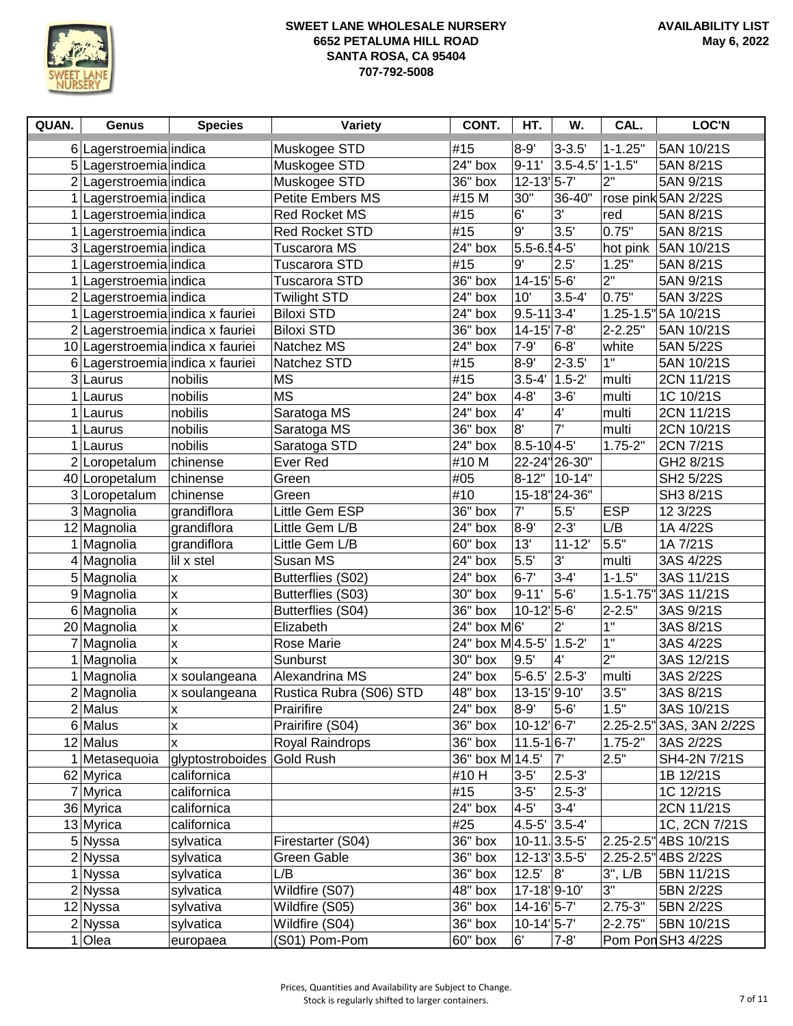

| QUAN. | <b>Genus</b>           | <b>Species</b>                    | Variety                 | CONT.                | HT.                                  | W.            | CAL.               | <b>LOC'N</b>            |
|-------|------------------------|-----------------------------------|-------------------------|----------------------|--------------------------------------|---------------|--------------------|-------------------------|
|       | 6 Lagerstroemia indica |                                   | Muskogee STD            | #15                  | $8 - 9'$                             | $3 - 3.5'$    | $1 - 1.25"$        | 5AN 10/21S              |
|       | 5 Lagerstroemia indica |                                   | Muskogee STD            | $24"$ box            | $9 - 11'$                            | $3.5 - 4.5'$  | $1 - 1.5"$         | 5AN 8/21S               |
|       | 2 Lagerstroemia indica |                                   | Muskogee STD            | 36" box              | $12 - 13$ <sup>1</sup> 5-7'          |               | $2^{\prime\prime}$ | 5AN 9/21S               |
|       | Lagerstroemia indica   |                                   | Petite Embers MS        | #15 M                | 30"                                  | 36-40"        |                    | rose pink 5AN 2/22S     |
|       | Lagerstroemia indica   |                                   | <b>Red Rocket MS</b>    | #15                  | 6'                                   | 3'            | red                | 5AN 8/21S               |
|       | Lagerstroemia indica   |                                   | <b>Red Rocket STD</b>   | #15                  | 9'                                   | 3.5'          | 0.75"              | 5AN 8/21S               |
|       | 3 Lagerstroemia indica |                                   | Tuscarora MS            | 24" box              | $5.5 - 6.4 - 5'$                     |               | hot pink           | 5AN 10/21S              |
|       | Lagerstroemia indica   |                                   | Tuscarora STD           | #15                  | 9'                                   | 2.5'          | 1.25"              | 5AN 8/21S               |
| 1     | Lagerstroemia indica   |                                   | Tuscarora STD           | 36" box              | $14 - 15$ <sup>1</sup> 5-6'          |               | 2"                 | 5AN 9/21S               |
|       | 2 Lagerstroemia indica |                                   | <b>Twilight STD</b>     | 24" box              | 10'                                  | $3.5 - 4'$    | 0.75"              | 5AN 3/22S               |
|       |                        | 1 Lagerstroemia indica x fauriei  | <b>Biloxi STD</b>       | 24" box              | $9.5 - 11$ 3-4'                      |               | $1.25 - 1.5$       | 5A 10/21S               |
|       |                        | 2 Lagerstroemia indica x fauriei  | <b>Biloxi STD</b>       | $36"$ box            | $14 - 15$ <sup>'</sup> 7-8'          |               | $2 - 2.25"$        | 5AN 10/21S              |
|       |                        | 10 Lagerstroemia indica x fauriei | Natchez MS              | 24" box              | $7 - 9'$                             | $6 - 8'$      | white              | 5AN 5/22S               |
|       |                        | 6 Lagerstroemia indica x fauriei  | Natchez STD             | #15                  | $8 - 9'$                             | $2 - 3.5'$    | 1"                 | 5AN 10/21S              |
|       | 3 Laurus               | nobilis                           | <b>MS</b>               | #15                  | $3.5 - 4'$                           | $1.5 - 2'$    | multi              | 2CN 11/21S              |
|       | $1$ Laurus             | nobilis                           | <b>MS</b>               | $24"$ box            | $4 - 8'$                             | $3 - 6'$      | multi              | 1C 10/21S               |
| 1     | Laurus                 | nobilis                           | Saratoga MS             | $\overline{2}4"$ box | 4'                                   | 4'            | multi              | 2CN 11/21S              |
| 1     | Laurus                 | nobilis                           | Saratoga MS             | 36" box              | 8'                                   | 7'            | multi              | 2CN 10/21S              |
|       | $1$ Laurus             | nobilis                           | Saratoga STD            | $24"$ box            | $8.5 - 10$ 4-5'                      |               | $1.75 - 2"$        | 2CN 7/21S               |
|       | 2 Loropetalum          | chinense                          | Ever Red                | #10 M                |                                      | 22-24" 26-30" |                    | GH2 8/21S               |
|       | 40 Loropetalum         | chinense                          | Green                   | #05                  | $8 - 12"$                            | 10-14"        |                    | SH2 5/22S               |
|       | 3 Loropetalum          | chinense                          | Green                   | #10                  |                                      | 15-18 24-36"  |                    | SH3 8/21S               |
|       | 3 Magnolia             | grandiflora                       | Little Gem ESP          | 36" box              | 7'                                   | 5.5'          | <b>ESP</b>         | 12 3/22S                |
|       | 12 Magnolia            | grandiflora                       | Little Gem L/B          | 24" box              | $8 - 9'$                             | $2 - 3'$      | L/B                | 1A 4/22S                |
|       | 1 Magnolia             | grandiflora                       | Little Gem L/B          | 60" box              | 13'                                  | $11 - 12'$    | 5.5"               | 1A 7/21S                |
|       | 4 Magnolia             | lil x stel                        | Susan MS                | 24" box              | 5.5'                                 | 3'            | multi              | 3AS 4/22S               |
|       | 5 Magnolia             | $\pmb{\mathsf{x}}$                | Butterflies (S02)       | 24" box              | $6 - 7'$                             | $3 - 4'$      | $1 - 1.5"$         | 3AS 11/21S              |
|       | 9 Magnolia             | X                                 | Butterflies (S03)       | 30" box              | $9 - 11'$                            | $5-6'$        | $1.5 - 1.75$       | 3AS 11/21S              |
|       | 6 Magnolia             | $\pmb{\mathsf{X}}$                | Butterflies (S04)       | $36"$ box            | $10-12$ 5-6'                         |               | $2 - 2.5"$         | 3AS 9/21S               |
|       | 20 Magnolia            | $\pmb{\mathsf{X}}$                | Elizabeth               | 24" box M 6'         |                                      | $2^{\prime}$  | 1"                 | 3AS 8/21S               |
|       | 7 Magnolia             | $\pmb{\mathsf{x}}$                | Rose Marie              | 24" box M 4.5-5'     |                                      | $1.5 - 2'$    | 1"                 | 3AS 4/22S               |
|       | 1 Magnolia             | X                                 | Sunburst                | 30" box              | 9.5'                                 | 4'            | $2^{\circ}$        | 3AS 12/21S              |
|       | 1 Magnolia             | x soulangeana                     | Alexandrina MS          | 24" box              | $5-6.5$ <sup>'</sup> 2.5-3'          |               | multi              | 3AS 2/22S               |
|       | 2 Magnolia             | x soulangeana                     | Rustica Rubra (S06) STD | 48" box              | 13-15 9-10                           |               | 3.5"               | 3AS 8/21S               |
|       | $2$ Malus              | X                                 | Prairifire              | 24" box              | $8 - 9'$                             | $5 - 6'$      | 1.5"               | 3AS 10/21S              |
|       | 6 Malus                | X                                 | Prairifire (S04)        | $36"$ box            | $10-12$ <sup>6-7</sup>               |               | $2.25 - 2.5$       | 3AS, 3AN 2/22S          |
|       | 12 Malus               | x                                 | Royal Raindrops         | $36"$ box            | $11.5 - 16 - 7'$                     |               | $1.75 - 2"$        | 3AS 2/22S               |
|       | 1 Metasequoia          | glyptostroboides                  | Gold Rush               | 36" box M 14.5'      |                                      | 7'            | 2.5"               | SH4-2N 7/21S            |
|       | 62 Myrica              | californica                       |                         | #10 H                | $3 - 5'$                             | $2.5 - 3'$    |                    | 1B 12/21S               |
|       | 7 Myrica               | californica                       |                         | #15                  | $3 - 5'$<br>$4 - 5'$                 | $2.5 - 3'$    |                    | 1C 12/21S               |
|       | 36 Myrica              | californica                       |                         | 24" box              |                                      | $3 - 4'$      |                    | 2CN 11/21S              |
|       | 13 Myrica              | californica                       |                         | #25                  | $4.5 - 5'$ 3.5-4                     |               |                    | 1C, 2CN 7/21S           |
|       | 5 Nyssa                | sylvatica                         | Firestarter (S04)       | 36" box              | $10-11$ . 3.5-5'<br>12-13 3.5-5      |               | $2.25 - 2.5$       | 4BS 10/21S              |
|       | $2$ Nyssa              | sylvatica                         | Green Gable<br>L/B      | 36" box<br>36" box   | 12.5'                                | 8             |                    | 2.25-2.5" 4BS 2/22S     |
|       | 1 Nyssa                | sylvatica                         | Wildfire (S07)          | 48" box              | 17-18 9-10                           |               | $3"$ , $L/B$<br>3" | 5BN 11/21S<br>5BN 2/22S |
|       | 2 Nyssa<br>12 Nyssa    | sylvatica<br>sylvativa            | Wildfire (S05)          | 36" box              | $14 - 16$ <sup>'</sup> $5 - 7$ '     |               | $2.75 - 3"$        | 5BN 2/22S               |
|       | $2$ Nyssa              | sylvatica                         | Wildfire (S04)          | 36" box              | $10-14$ <sup><math>5-7'</math></sup> |               | $2 - 2.75"$        | 5BN 10/21S              |
|       |                        |                                   | (S01) Pom-Pom           | 60" box              | 6'                                   | $7 - 8'$      |                    | Pom Pon SH3 4/22S       |
|       | $1$ Olea               | europaea                          |                         |                      |                                      |               |                    |                         |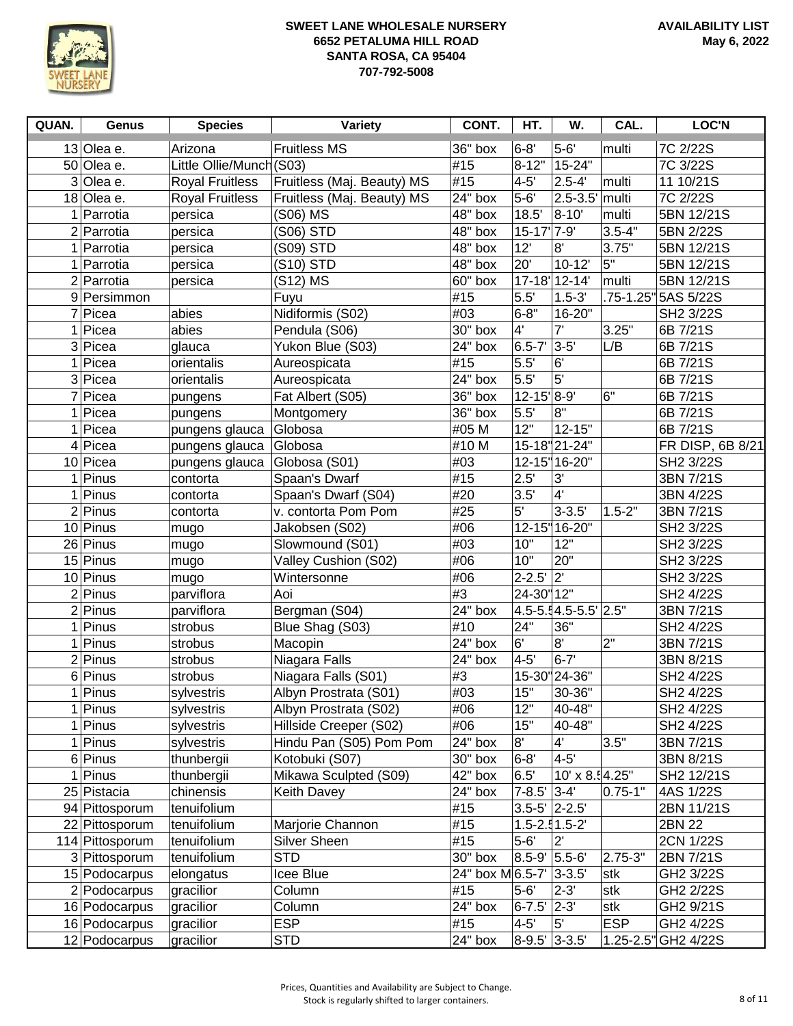

| QUAN.          | <b>Genus</b>    | <b>Species</b>          | Variety                    | CONT.                 | HT.                  | W.                                    | CAL.        | LOC'N               |
|----------------|-----------------|-------------------------|----------------------------|-----------------------|----------------------|---------------------------------------|-------------|---------------------|
|                | 13 Olea e.      | Arizona                 | <b>Fruitless MS</b>        | 36" box               | $6 - 8'$             | $5-6'$                                | multi       | 7C 2/22S            |
|                | 50 Olea e.      | Little Ollie/Munch(S03) |                            | #15                   | $8 - 12"$            | 15-24"                                |             | 7C 3/22S            |
|                | 3 Olea e.       | <b>Royal Fruitless</b>  | Fruitless (Maj. Beauty) MS | #15                   | $4 - 5'$             | $2.5 - 4'$                            | multi       | 11 10/21S           |
|                | 18 Olea e.      | <b>Royal Fruitless</b>  | Fruitless (Maj. Beauty) MS | 24" box               | $5-6'$               | $2.5 - 3.5'$                          | multi       | 7C 2/22S            |
| 1              | Parrotia        | persica                 | (S06) MS                   | $\overline{48}$ " box | 18.5'                | 8-10'                                 | multi       | 5BN 12/21S          |
|                | $2$ Parrotia    | persica                 | (S06) STD                  | $\overline{48}$ " box | $15 - 17$            | 7-9'                                  | $3.5 - 4"$  | 5BN 2/22S           |
|                | 1 Parrotia      | persica                 | (S09) STD                  | $\overline{48}$ " box | 12'                  | 8"                                    | 3.75"       | 5BN 12/21S          |
|                | $1$ Parrotia    | persica                 | (S10) STD                  | 48" box               | 20'                  | $10 - 12'$                            | 5"          | 5BN 12/21S          |
|                | 2 Parrotia      | persica                 | (S12) MS                   | 60" box               |                      | 17-18 12-14                           | multi       | 5BN 12/21S          |
|                | 9 Persimmon     |                         | Fuyu                       | #15                   | 5.5'                 | $1.5 - 3'$                            | .75-1.25"   | 5AS 5/22S           |
|                | 7 Picea         | abies                   | Nidiformis (S02)           | #03                   | $6 - 8"$             | 16-20"                                |             | SH2 3/22S           |
| 1.             | Picea           | abies                   | Pendula (S06)              | 30" box               | 4'                   | 7'                                    | 3.25"       | 6B 7/21S            |
|                | 3 Picea         | glauca                  | Yukon Blue (S03)           | $\overline{2}4"$ box  | $6.5 - 7$            | $3 - 5'$                              | L/B         | 6B 7/21S            |
| 1 <sup>1</sup> | Picea           | orientalis              | Aureospicata               | #15                   | 5.5'                 | 6'                                    |             | 6B 7/21S            |
|                | 3 Picea         | orientalis              | Aureospicata               | $24"$ box             | 5.5'                 | 5 <sup>1</sup>                        |             | 6B 7/21S            |
|                | 7 Picea         | pungens                 | Fat Albert (S05)           | 36" box               | 12-15'8-9'           |                                       | 6"          | 6B 7/21S            |
| 1              | Picea           | pungens                 | Montgomery                 | 36" box               | 5.5'                 | $8^{\circ}$                           |             | 6B 7/21S            |
|                | Picea           | pungens glauca          | Globosa                    | #05 M                 | 12"                  | $12 - 15"$                            |             | 6B 7/21S            |
|                | $4$ Picea       | pungens glauca          | Globosa                    | #10 M                 |                      | 15-18 21-24"                          |             | FR DISP, 6B 8/21    |
|                | 10 Picea        | pungens glauca          | Globosa (S01)              | #03                   |                      | 12-15 16-20"                          |             | SH2 3/22S           |
| 1              | Pinus           | contorta                | Spaan's Dwarf              | #15                   | 2.5'                 | 3'                                    |             | 3BN 7/21S           |
| 1 <sup>1</sup> | Pinus           | contorta                | Spaan's Dwarf (S04)        | #20                   | 3.5'                 | $\overline{4}$                        |             | 3BN 4/22S           |
|                | $2$ Pinus       | contorta                | v. contorta Pom Pom        | #25                   | 5'                   | $3 - 3.5'$                            | $1.5 - 2"$  | 3BN 7/21S           |
|                | $10$ Pinus      | mugo                    | Jakobsen (S02)             | #06                   |                      | 12-15 16-20"                          |             | SH2 3/22S           |
|                | 26 Pinus        | mugo                    | Slowmound (S01)            | #03                   | 10"                  | 12"                                   |             | SH2 3/22S           |
|                | 15 Pinus        | mugo                    | Valley Cushion (S02)       | #06                   | 10"                  | 20"                                   |             | SH2 3/22S           |
|                | 10 Pinus        | mugo                    | Wintersonne                | #06                   | $2 - 2.5'$           | $ 2\rangle$                           |             | SH2 3/22S           |
|                | $2$ Pinus       | parviflora              | Aoi                        | #3                    | 24-30" 12"           |                                       |             | SH2 4/22S           |
|                | $2$ Pinus       | parviflora              | Bergman (S04)              | 24" box               |                      | $4.5 - 5.14.5 - 5.5$ <sup>2</sup> .5" |             | 3BN 7/21S           |
| 1              | Pinus           | strobus                 | Blue Shag (S03)            | #10                   | 24"                  | 36"                                   |             | SH2 4/22S           |
|                | $1$ Pinus       | strobus                 | Macopin                    | $24"$ box             | 6'                   | 8"                                    | 2"          | 3BN 7/21S           |
|                | $2$ Pinus       | strobus                 | Niagara Falls              | 24" box               | $4 - 5'$             | $6 - 7'$                              |             | 3BN 8/21S           |
|                | 6 Pinus         | strobus                 | Niagara Falls (S01)        | #3                    |                      | 15-30" 24-36"                         |             | SH2 4/22S           |
|                | $1$ Pinus       | sylvestris              | Albyn Prostrata (S01)      | #03                   | 15"                  | 30-36"                                |             | SH2 4/22S           |
|                | Pinus           | sylvestris              | Albyn Prostrata (S02)      | #06                   | 12"                  | 40-48"                                |             | SH2 4/22S           |
|                | $1$ Pinus       | sylvestris              | Hillside Creeper (S02)     | #06                   | 15"                  | 40-48"                                |             | SH2 4/22S           |
|                | $1$ Pinus       | sylvestris              | Hindu Pan (S05) Pom Pom    | 24" box               | 8'                   | 4'                                    | 3.5"        | 3BN 7/21S           |
|                | $6$ Pinus       | thunbergii              | Kotobuki (S07)             | 30" box               | $6 - 8'$             | $4 - 5'$                              |             | 3BN 8/21S           |
|                | $1$ Pinus       | thunbergii              | Mikawa Sculpted (S09)      | 42" box               | 6.5'                 | 10' x 8.54.25"                        |             | SH2 12/21S          |
|                | 25 Pistacia     | chinensis               | <b>Keith Davey</b>         | $24"$ box             | $7 - 8.5'$           | $3 - 4'$                              | $0.75 - 1"$ | 4AS 1/22S           |
|                | 94 Pittosporum  | tenuifolium             |                            | #15                   | $3.5 - 5'$ 2-2.5     |                                       |             | 2BN 11/21S          |
|                | 22 Pittosporum  | tenuifolium             | Marjorie Channon           | #15                   | $1.5 - 2.51 - 5 - 2$ |                                       |             | 2BN 22              |
|                | 114 Pittosporum | tenuifolium             | Silver Sheen               | #15                   | $5 - 6'$             | $2^{\prime}$                          |             | 2CN 1/22S           |
|                | 3 Pittosporum   | tenuifolium             | <b>STD</b>                 | 30" box               | 8.5-9' 5.5-6'        |                                       | $2.75 - 3"$ | 2BN 7/21S           |
|                | 15 Podocarpus   | elongatus               | Icee Blue                  | 24" box M 6.5-7'      |                      | $ 3 - 3.5 $                           | stk         | GH2 3/22S           |
|                | 2 Podocarpus    | gracilior               | Column                     | #15                   | $5 - 6'$             | $2 - 3'$                              | stk         | GH2 2/22S           |
|                | 16 Podocarpus   | gracilior               | Column                     | 24" box               | $6 - 7.5'$           | $ 2-3$                                | stk         | GH2 9/21S           |
|                | 16 Podocarpus   | gracilior               | <b>ESP</b>                 | #15                   | $4 - 5'$             | 5'                                    | <b>ESP</b>  | GH2 4/22S           |
|                | 12 Podocarpus   | gracilior               | <b>STD</b>                 | 24" box               | 8-9.5' 3-3.5'        |                                       |             | 1.25-2.5" GH2 4/22S |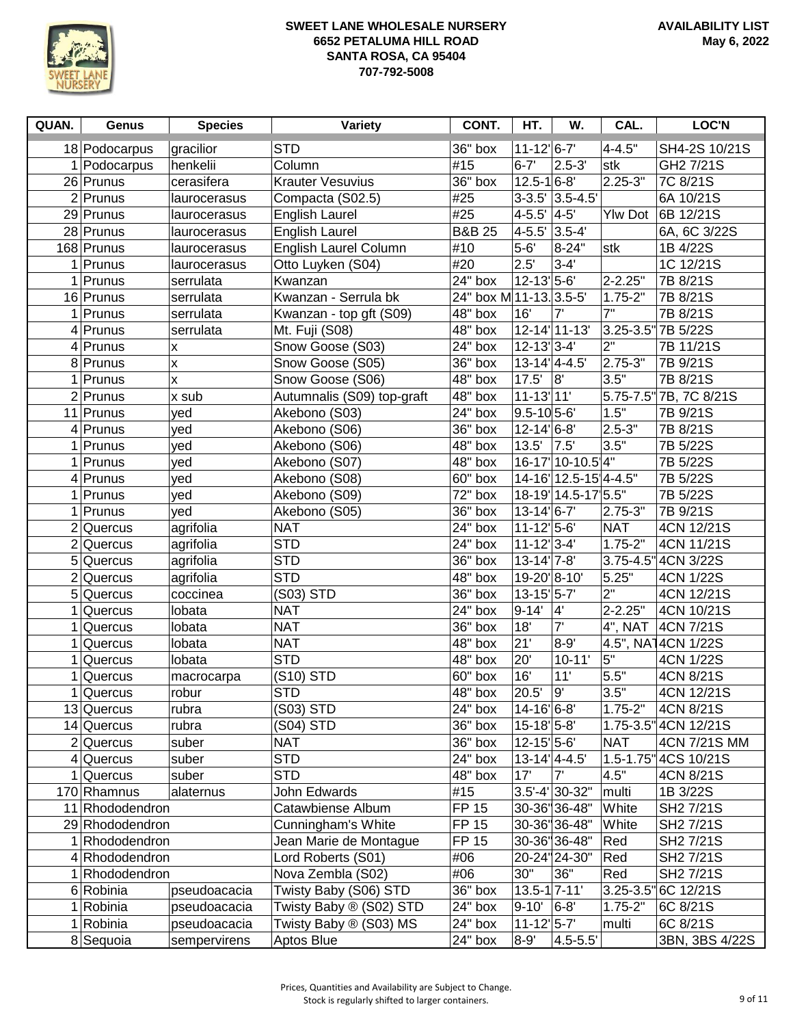

| QUAN.          | Genus                          | <b>Species</b> | Variety                                      | CONT.                   | HT.                                      | W.                    | CAL.             | <b>LOC'N</b>           |
|----------------|--------------------------------|----------------|----------------------------------------------|-------------------------|------------------------------------------|-----------------------|------------------|------------------------|
|                | 18 Podocarpus                  | gracilior      | <b>STD</b>                                   | 36" box                 | $11 - 12$ <sup>6-7</sup>                 |                       | $4 - 4.5"$       | SH4-2S 10/21S          |
|                | 1 Podocarpus                   | henkelii       | Column                                       | #15                     | $6 - 7'$                                 | $2.5 - 3'$            | stk              | GH2 7/21S              |
|                | 26 Prunus                      | cerasifera     | <b>Krauter Vesuvius</b>                      | 36" box                 | $12.5 - 16 - 8'$                         |                       | $2.25 - 3"$      | 7C 8/21S               |
|                | $\overline{2}$  Prunus         | laurocerasus   | Compacta (S02.5)                             | #25                     |                                          | 3-3.5' 3.5-4.5'       |                  | 6A 10/21S              |
|                | 29 Prunus                      | laurocerasus   | English Laurel                               | #25                     | $4 - 5.5'$ $4 - 5'$                      |                       | <b>Ylw Dot</b>   | 6B 12/21S              |
|                | 28 Prunus                      | laurocerasus   | <b>English Laurel</b>                        | <b>B&amp;B 25</b>       | $4 - 5.5'$ 3.5-4                         |                       |                  | 6A, 6C 3/22S           |
|                | 168 Prunus                     | laurocerasus   | English Laurel Column                        | #10                     | $5 - 6'$                                 | 8-24"                 | stk              | 1B 4/22S               |
|                | 1 Prunus                       | laurocerasus   | Otto Luyken (S04)                            | #20                     | 2.5'                                     | $3 - 4'$              |                  | 1C 12/21S              |
|                | $1$ Prunus                     | serrulata      | Kwanzan                                      | $24"$ box               | $12 - 13$ <sup>1</sup> 5-6'              |                       | 2-2.25"          | 7B 8/21S               |
|                | 16 Prunus                      | serrulata      | Kwanzan - Serrula bk                         | 24" box M 11-13. 3.5-5' |                                          |                       | $1.75 - 2"$      | 7B 8/21S               |
|                | 1 Prunus                       | serrulata      | Kwanzan - top gft (S09)                      | $48"$ box               | 16'                                      | 7'                    | $\overline{7}$ " | 7B 8/21S               |
|                | $4$ Prunus                     | serrulata      | Mt. Fuji (S08)                               | $\overline{48}$ " box   |                                          | 12-14 11-13           |                  | 3.25-3.5" 7B 5/22S     |
|                | $4$ Prunus                     | x              | Snow Goose (S03)                             | 24" box                 | $12 - 13$ <sup>1</sup> 3-4'              |                       | 2"               | 7B 11/21S              |
|                | 8 Prunus                       | X              | Snow Goose (S05)                             | $36"$ box               | $13-14$ <sup>'</sup> $4-4.5$ '           |                       | 2.75-3"          | 7B 9/21S               |
| 1              | Prunus                         | X              | Snow Goose (S06)                             | $\overline{48}$ " box   | $17.5'$ 8                                |                       | 3.5"             | 7B 8/21S               |
|                | $2$ Prunus                     | x sub          | Autumnalis (S09) top-graft                   | 48" box                 | $11 - 13$  11'                           |                       |                  | 5.75-7.5" 7B, 7C 8/21S |
|                | 11 Prunus                      | yed            | Akebono (S03)                                | 24" box                 | $9.5 - 105 - 6'$                         |                       | 1.5"             | 7B 9/21S               |
|                | $4$ Prunus                     | yed            | Akebono (S06)                                | $36"$ box               | $12 - 14$ <sup><math> 6 - 8</math></sup> |                       | $2.5 - 3"$       | 7B 8/21S               |
| 1              | Prunus                         | yed            | Akebono (S06)                                | 48" box                 | 13.5'                                    | 7.5                   | 3.5"             | 7B 5/22S               |
| 1              | Prunus                         | yed            | Akebono (S07)                                | 48" box                 |                                          | 16-17 10-10.5 4"      |                  | 7B 5/22S               |
|                | 4 Prunus                       | yed            | Akebono (S08)                                | 60" box                 |                                          | 14-16 12.5-15 4-4.5"  |                  | 7B 5/22S               |
| 1              | Prunus                         | yed            | Akebono (S09)                                | 72" box                 |                                          | 18-19 14.5-17 5.5"    |                  | 7B 5/22S               |
| 1              | Prunus                         | yed            | Akebono (S05)                                | 36" box                 | $13 - 14$ <sup>1</sup> 6-7               |                       | 2.75-3"          | 7B 9/21S               |
|                | $2$ Quercus                    | agrifolia      | <b>NAT</b>                                   | $24"$ box               | $11 - 12$ 5-6                            |                       | <b>NAT</b>       | 4CN 12/21S             |
|                | $2$ Quercus                    | agrifolia      | <b>STD</b>                                   | $24"$ box               | $11 - 12$ <sup>2</sup> 3-4'              |                       | $1.75 - 2"$      | 4CN 11/21S             |
|                | 5 Quercus                      | agrifolia      | <b>STD</b>                                   | 36" box                 | $13 - 14$ <sup>1</sup> 7-8'              |                       |                  | 3.75-4.5" 4CN 3/22S    |
|                | $2$ Quercus                    | agrifolia      | <b>STD</b>                                   | 48" box                 | 19-20 8-10                               |                       | 5.25"            | 4CN 1/22S              |
| 5 <sup>5</sup> | Quercus                        | coccinea       | (S03) STD                                    | 36" box                 | $13 - 15$ <sup>1</sup> 5-7               |                       | $\overline{2}$ " | 4CN 12/21S             |
|                | Quercus                        | lobata         | <b>NAT</b>                                   | 24" box                 | $9 - 14'$                                | $\mathbf{4}^{\prime}$ | $2 - 2.25"$      | 4CN 10/21S             |
| 1              | Quercus                        | lobata         | <b>NAT</b>                                   | 36" box                 | 18'                                      | 7'                    | 4", NAT          | 4CN 7/21S              |
|                | Quercus                        | lobata         | <b>NAT</b>                                   | 48" box                 | 21'                                      | $8 - 9'$              |                  | 4.5", NA14CN 1/22S     |
| 1              | Quercus                        | lobata         | <b>STD</b>                                   | 48" box                 | 20'                                      | $10 - 11'$            | 5"               | 4CN 1/22S              |
| 1              | Quercus                        | macrocarpa     | (S10) STD                                    | 60" box                 | 16'                                      | 11'                   | 5.5"             | 4CN 8/21S              |
|                | $1$ Quercus                    | robur          | <b>STD</b>                                   | 48" box                 | 20.5'                                    | g'                    | 3.5"             | 4CN 12/21S             |
|                | 13 Quercus                     | rubra          | (S03) STD                                    | $24"$ box               | 14-16 6-8                                |                       | $1.75 - 2"$      | 4CN 8/21S              |
|                | 14 Quercus                     | rubra          | (S04) STD                                    | 36" box                 | $15-18$ <sup>'</sup> $5-8$ '             |                       |                  | 1.75-3.5" 4CN 12/21S   |
|                | $2$ Quercus                    | suber          | <b>NAT</b>                                   | 36" box                 | $12 - 15$ <sup>1</sup> 5-6'              |                       | <b>NAT</b>       | 4CN 7/21S MM           |
|                | $4$ Quercus                    | suber          | <b>STD</b><br><b>STD</b>                     | 24" box                 | $13-14'$ 4-4.5'<br>17'                   | 7'                    | 4.5"             | 1.5-1.75" 4CS 10/21S   |
|                | Quercus                        | suber          |                                              | 48" box<br>#15          |                                          | $3.5' - 4'$ 30-32"    |                  | 4CN 8/21S<br>1B 3/22S  |
|                | 170 Rhamnus<br>11 Rhododendron | alaternus      | John Edwards<br>Catawbiense Album            | <b>FP 15</b>            |                                          | 30-36"36-48"          | multi<br>White   |                        |
|                | 29 Rhododendron                |                | Cunningham's White                           | <b>FP 15</b>            |                                          | 30-36" 36-48"         | White            | SH2 7/21S<br>SH2 7/21S |
|                | 1 Rhododendron                 |                |                                              | <b>FP 15</b>            |                                          | 30-36 36-48"          | Red              | SH2 7/21S              |
|                |                                |                | Jean Marie de Montague<br>Lord Roberts (S01) | #06                     |                                          | 20-24" 24-30"         |                  |                        |
|                | 4 Rhododendron<br>Rhododendron |                | Nova Zembla (S02)                            | #06                     | 30"                                      | 36"                   | Red<br>Red       | SH2 7/21S<br>SH2 7/21S |
|                | 6 Robinia                      | pseudoacacia   | Twisty Baby (S06) STD                        | 36" box                 | $13.5 - 17 - 11'$                        |                       | $3.25 - 3.5$     | 6C 12/21S              |
|                | Robinia                        | pseudoacacia   | Twisty Baby ® (S02) STD                      | 24" box                 | $9 - 10'$                                | $6-8'$                | $1.75 - 2"$      | 6C 8/21S               |
| 1              | Robinia                        | pseudoacacia   | Twisty Baby ® (S03) MS                       | 24" box                 | $11 - 12$ <sup>1</sup> 5-7               |                       | multi            | 6C 8/21S               |
|                | 8 Sequoia                      | sempervirens   | Aptos Blue                                   | 24" box                 | $8 - 9'$                                 | $4.5 - 5.5'$          |                  | 3BN, 3BS 4/22S         |
|                |                                |                |                                              |                         |                                          |                       |                  |                        |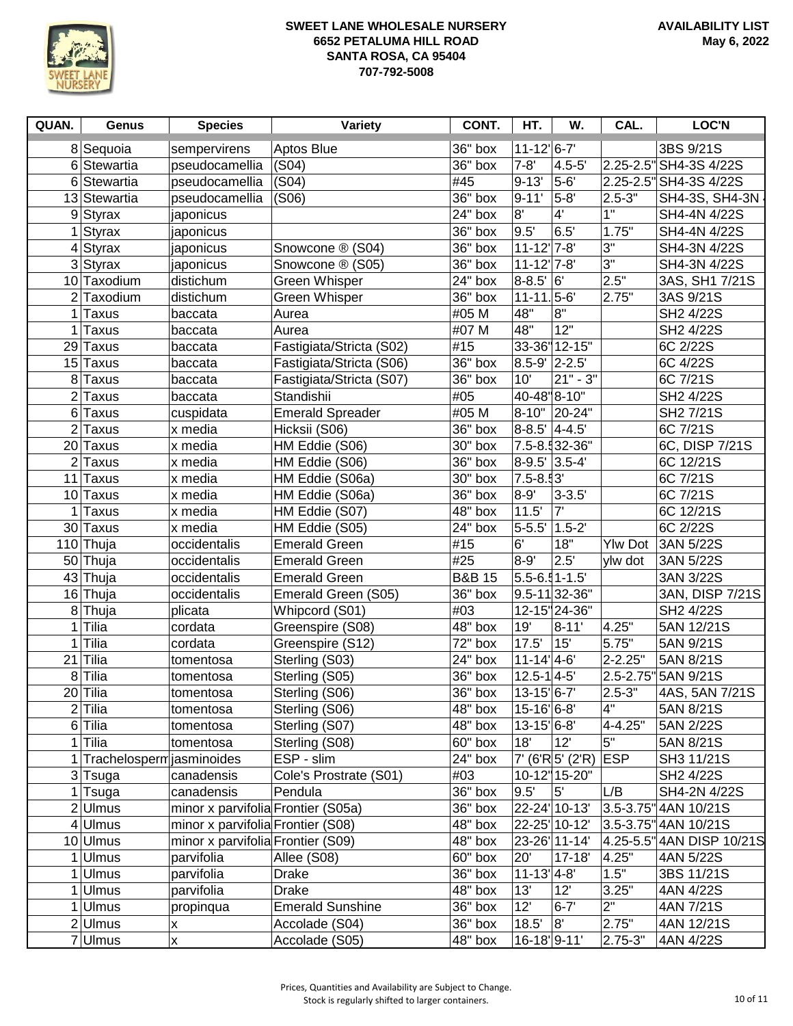

| QUAN. | <b>Genus</b>                | <b>Species</b>                     | <b>Variety</b>           | CONT.             | HT.                                      | W.                   | CAL.           | <b>LOC'N</b>              |
|-------|-----------------------------|------------------------------------|--------------------------|-------------------|------------------------------------------|----------------------|----------------|---------------------------|
|       | 8 Sequoia                   | sempervirens                       | Aptos Blue               | 36" box           | $11 - 12$ <sup><math> 6 - 7</math></sup> |                      |                | 3BS 9/21S                 |
|       | 6 Stewartia                 | pseudocamellia                     | (S04)                    | 36" box           | $7 - 8'$                                 | $4.5 - 5'$           | 2.25-2.5"      | SH4-3S 4/22S              |
|       | 6 Stewartia                 | pseudocamellia                     | (S04)                    | #45               | $9 - 13'$                                | 5-6'                 | $2.25 - 2.5"$  | SH4-3S 4/22S              |
|       | 13 Stewartia                | pseudocamellia                     | (S06)                    | 36" box           | $9 - 11'$                                | $5-8'$               | $2.5 - 3"$     | SH4-3S, SH4-3N            |
|       | $9$ Styrax                  | japonicus                          |                          | 24" box           | 8'                                       | $4^{\prime}$         | 1"             | SH4-4N 4/22S              |
|       | $1$ Styrax                  | japonicus                          |                          | 36" box           | 9.5'                                     | 6.5'                 | 1.75"          | SH4-4N 4/22S              |
|       | $4$ Styrax                  | japonicus                          | Snowcone ® (S04)         | 36" box           | $11 - 12$ <sup>'</sup> 7-8'              |                      | 3"             | SH4-3N 4/22S              |
|       | $3$ Styrax                  | japonicus                          | Snowcone ® (S05)         | 36" box           | $11 - 12$ <sup>'</sup> 7-8'              |                      | 3"             | SH4-3N 4/22S              |
|       | 10 Taxodium                 | distichum                          | Green Whisper            | 24" box           | $8 - 8.5'$ 6                             |                      | 2.5"           | 3AS, SH1 7/21S            |
|       | $2$ Taxodium                | distichum                          | <b>Green Whisper</b>     | 36" box           | $11 - 11.5 - 6'$                         |                      | 2.75"          | 3AS 9/21S                 |
|       | $1$ Taxus                   | baccata                            | Aurea                    | #05 M             | 48"                                      | 8"                   |                | SH2 4/22S                 |
| 1     | Taxus                       | baccata                            | Aurea                    | #07 M             | 48"                                      | 12"                  |                | SH2 4/22S                 |
|       | 29 Taxus                    | baccata                            | Fastigiata/Stricta (S02) | #15               |                                          | 33-36" 12-15"        |                | 6C 2/22S                  |
|       | 15 Taxus                    | baccata                            | Fastigiata/Stricta (S06) | $36"$ box         | $8.5 - 9'$ 2-2.5                         |                      |                | 6C 4/22S                  |
|       | 8 Taxus                     | baccata                            | Fastigiata/Stricta (S07) | 36" box           | 10'                                      | $21" - 3"$           |                | 6C 7/21S                  |
|       | $2$ Taxus                   | baccata                            | Standishii               | #05               | 40-48"8-10"                              |                      |                | SH2 4/22S                 |
|       | 6 Taxus                     | cuspidata                          | <b>Emerald Spreader</b>  | #05 M             |                                          | $8-10"$ 20-24"       |                | SH2 7/21S                 |
|       | $2$ Taxus                   | x media                            | Hicksii (S06)            | $36"$ box         | $8-8.5'$ 4-4.5'                          |                      |                | 6C 7/21S                  |
|       | 20 Taxus                    | x media                            | HM Eddie (S06)           | 30" box           |                                          | 7.5-8.532-36"        |                | 6C, DISP 7/21S            |
|       | $2$ Taxus                   | x media                            | HM Eddie (S06)           | 36" box           | $8-9.5'$ 3.5-4'                          |                      |                | 6C 12/21S                 |
|       | 11 Taxus                    | x media                            | HM Eddie (S06a)          | 30" box           | $7.5 - 8.93'$                            |                      |                | 6C 7/21S                  |
|       | 10 Taxus                    | x media                            | HM Eddie (S06a)          | 36" box           | $8 - 9'$                                 | $3 - 3.5'$           |                | 6C 7/21S                  |
|       | $1$ Taxus                   | x media                            | HM Eddie (S07)           | 48" box           | 11.5'                                    | $\overline{7}$       |                | 6C 12/21S                 |
|       | 30 Taxus                    | x media                            | HM Eddie (S05)           | 24" box           | $5 - 5.5'$ 1.5-2                         |                      |                | 6C 2/22S                  |
|       | 110 Thuja                   | occidentalis                       | <b>Emerald Green</b>     | #15               | 6'                                       | 18"                  | <b>Ylw Dot</b> | 3AN 5/22S                 |
|       | 50 Thuja                    | occidentalis                       | <b>Emerald Green</b>     | #25               | $8 - 9'$                                 | $\overline{2.5}$     | ylw dot        | 3AN 5/22S                 |
|       | 43 Thuja                    | occidentalis                       | <b>Emerald Green</b>     | <b>B&amp;B 15</b> | $5.5 - 6.51 - 1.5$                       |                      |                | 3AN 3/22S                 |
|       | 16 Thuja                    | occidentalis                       | Emerald Green (S05)      | 36" box           |                                          | $9.5 - 11$ 32-36"    |                | 3AN, DISP 7/21S           |
|       | 8Thuja                      | plicata                            | Whipcord (S01)           | #03               |                                          | 12-15"24-36"         |                | SH2 4/22S                 |
|       | $1$ Tilia                   | cordata                            | Greenspire (S08)         | 48" box           | 19'                                      | $8 - 11'$            | 4.25"          | 5AN 12/21S                |
|       | $1$ Tilia                   | cordata                            | Greenspire (S12)         | 72" box           | 17.5'                                    | 15'                  | 5.75"          | 5AN 9/21S                 |
|       | $21$ Tilia                  | tomentosa                          | Sterling (S03)           | 24" box           | $11 - 14$ <sup>1</sup> 4-6               |                      | 2-2.25"        | 5AN 8/21S                 |
|       | 8 Tilia                     | tomentosa                          | Sterling (S05)           | 36" box           | $12.5 - 1$ 4-5                           |                      | 2.5-2.75"      | 5AN 9/21S                 |
|       | 20 Tilia                    | tomentosa                          | Sterling (S06)           | 36" box           | $13 - 15$ <sup>1</sup> 6-7               |                      | $2.5 - 3"$     | 4AS, 5AN 7/21S            |
|       | $2$ Tilia                   | tomentosa                          | Sterling (S06)           | 48" box           | 15-16'6-8'                               |                      | 4"             | 5AN 8/21S                 |
|       | 6 <sup>Tilia</sup>          | tomentosa                          | Sterling (S07)           | 48" box           | $13 - 15$ <sup>1</sup> 6-8'              |                      | 4-4.25"        | 5AN 2/22S                 |
|       | $1$ Tilia                   | tomentosa                          | Sterling (S08)           | 60" box           | 18'                                      | 12                   | 5"             | 5AN 8/21S                 |
|       | 1 Trachelosperm jasminoides |                                    | ESP - slim               | 24" box           |                                          | $7'$ (6'R $5'$ (2'R) | <b>ESP</b>     | SH3 11/21S                |
|       | 3 Tsuga                     | canadensis                         | Cole's Prostrate (S01)   | #03               |                                          | 10-12" 15-20"        |                | SH2 4/22S                 |
|       | 1 Tsuga                     | canadensis                         | Pendula                  | 36" box           | 9.5'                                     | 5'                   | L/B            | SH4-2N 4/22S              |
|       | $2$ Ulmus                   | minor x parvifolia Frontier (S05a) |                          | 36" box           | 22-24 10-13                              |                      |                | 3.5-3.75" 4AN 10/21S      |
|       | $4$ Ulmus                   | minor x parvifolia Frontier (S08)  |                          | 48" box           | 22-25' 10-12'                            |                      |                | 3.5-3.75" 4AN 10/21S      |
|       | 10 Ulmus                    | minor x parvifolia Frontier (S09)  |                          | 48" box           |                                          | 23-26' 11-14'        |                | 4.25-5.5" 4AN DISP 10/21S |
|       | $1$ Ulmus                   | parvifolia                         | Allee (S08)              | 60" box           | 20'                                      | $17 - 18'$           | 4.25"          | 4AN 5/22S                 |
|       | Ulmus                       | parvifolia                         | Drake                    | 36" box           | $11 - 13$ <sup>1</sup> 4-8'              |                      | 1.5"           | 3BS 11/21S                |
|       | $1$ Ulmus                   | parvifolia                         | <b>Drake</b>             | 48" box           | 13'                                      | 12'                  | 3.25"          | 4AN 4/22S                 |
|       | $1$ Ulmus                   | propinqua                          | <b>Emerald Sunshine</b>  | 36" box           | 12'                                      | $6 - 7'$             | 2"             | 4AN 7/21S                 |
|       | $2$ Ulmus                   | X                                  | Accolade (S04)           | 36" box           | 18.5'                                    | 8"                   | 2.75"          | 4AN 12/21S                |
|       | 7Ulmus                      | X                                  | Accolade (S05)           | 48" box           | 16-18 9-11                               |                      | 2.75-3"        | 4AN 4/22S                 |